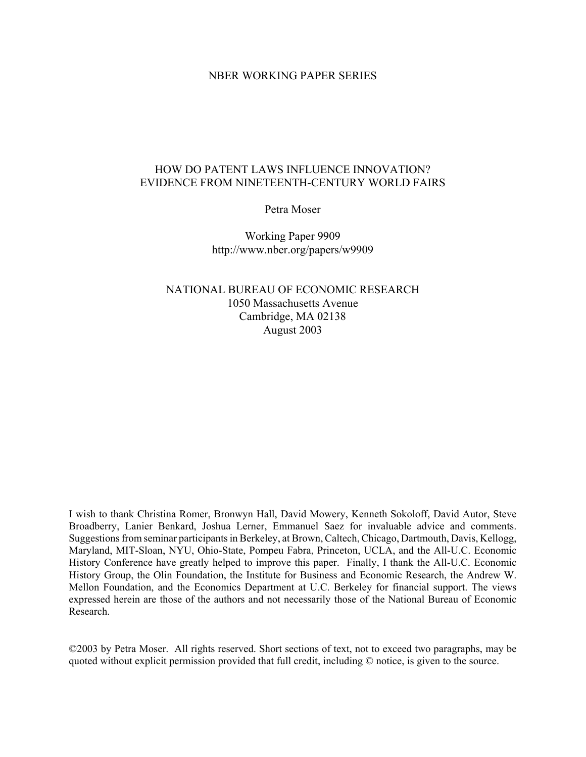#### NBER WORKING PAPER SERIES

## HOW DO PATENT LAWS INFLUENCE INNOVATION? EVIDENCE FROM NINETEENTH-CENTURY WORLD FAIRS

Petra Moser

Working Paper 9909 http://www.nber.org/papers/w9909

## NATIONAL BUREAU OF ECONOMIC RESEARCH 1050 Massachusetts Avenue Cambridge, MA 02138 August 2003

I wish to thank Christina Romer, Bronwyn Hall, David Mowery, Kenneth Sokoloff, David Autor, Steve Broadberry, Lanier Benkard, Joshua Lerner, Emmanuel Saez for invaluable advice and comments. Suggestions from seminar participants in Berkeley, at Brown, Caltech, Chicago, Dartmouth, Davis, Kellogg, Maryland, MIT-Sloan, NYU, Ohio-State, Pompeu Fabra, Princeton, UCLA, and the All-U.C. Economic History Conference have greatly helped to improve this paper. Finally, I thank the All-U.C. Economic History Group, the Olin Foundation, the Institute for Business and Economic Research, the Andrew W. Mellon Foundation, and the Economics Department at U.C. Berkeley for financial support. The views expressed herein are those of the authors and not necessarily those of the National Bureau of Economic Research.

©2003 by Petra Moser. All rights reserved. Short sections of text, not to exceed two paragraphs, may be quoted without explicit permission provided that full credit, including © notice, is given to the source.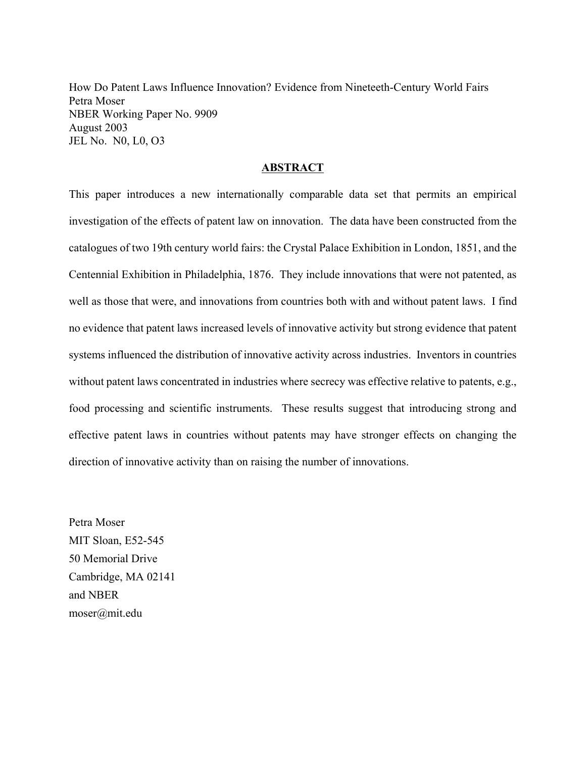How Do Patent Laws Influence Innovation? Evidence from Nineteeth-Century World Fairs Petra Moser NBER Working Paper No. 9909 August 2003 JEL No. N0, L0, O3

### **ABSTRACT**

This paper introduces a new internationally comparable data set that permits an empirical investigation of the effects of patent law on innovation. The data have been constructed from the catalogues of two 19th century world fairs: the Crystal Palace Exhibition in London, 1851, and the Centennial Exhibition in Philadelphia, 1876. They include innovations that were not patented, as well as those that were, and innovations from countries both with and without patent laws. I find no evidence that patent laws increased levels of innovative activity but strong evidence that patent systems influenced the distribution of innovative activity across industries. Inventors in countries without patent laws concentrated in industries where secrecy was effective relative to patents, e.g., food processing and scientific instruments. These results suggest that introducing strong and effective patent laws in countries without patents may have stronger effects on changing the direction of innovative activity than on raising the number of innovations.

Petra Moser MIT Sloan, E52-545 50 Memorial Drive Cambridge, MA 02141 and NBER moser@mit.edu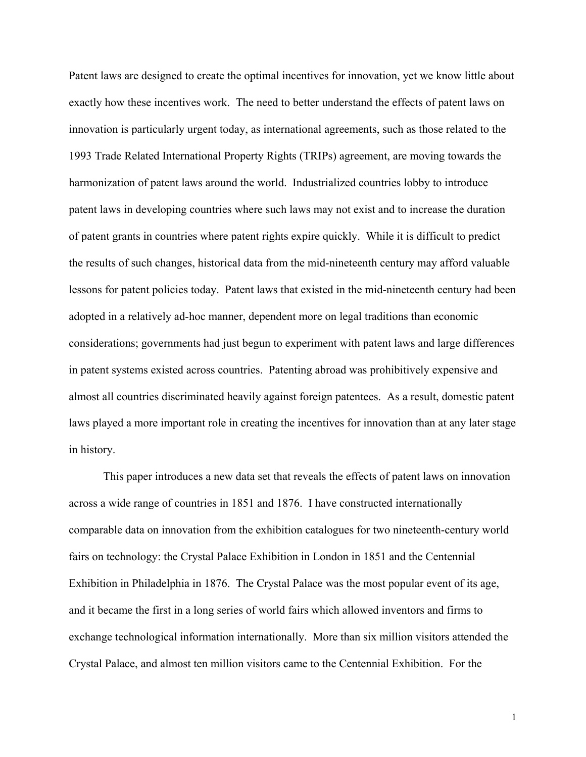Patent laws are designed to create the optimal incentives for innovation, yet we know little about exactly how these incentives work. The need to better understand the effects of patent laws on innovation is particularly urgent today, as international agreements, such as those related to the 1993 Trade Related International Property Rights (TRIPs) agreement, are moving towards the harmonization of patent laws around the world. Industrialized countries lobby to introduce patent laws in developing countries where such laws may not exist and to increase the duration of patent grants in countries where patent rights expire quickly. While it is difficult to predict the results of such changes, historical data from the mid-nineteenth century may afford valuable lessons for patent policies today. Patent laws that existed in the mid-nineteenth century had been adopted in a relatively ad-hoc manner, dependent more on legal traditions than economic considerations; governments had just begun to experiment with patent laws and large differences in patent systems existed across countries. Patenting abroad was prohibitively expensive and almost all countries discriminated heavily against foreign patentees. As a result, domestic patent laws played a more important role in creating the incentives for innovation than at any later stage in history.

This paper introduces a new data set that reveals the effects of patent laws on innovation across a wide range of countries in 1851 and 1876. I have constructed internationally comparable data on innovation from the exhibition catalogues for two nineteenth-century world fairs on technology: the Crystal Palace Exhibition in London in 1851 and the Centennial Exhibition in Philadelphia in 1876. The Crystal Palace was the most popular event of its age, and it became the first in a long series of world fairs which allowed inventors and firms to exchange technological information internationally. More than six million visitors attended the Crystal Palace, and almost ten million visitors came to the Centennial Exhibition. For the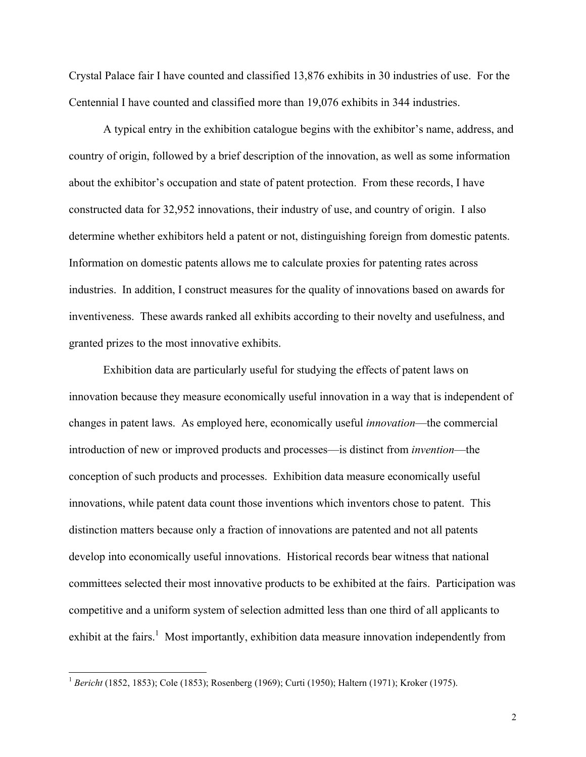Crystal Palace fair I have counted and classified 13,876 exhibits in 30 industries of use. For the Centennial I have counted and classified more than 19,076 exhibits in 344 industries.

A typical entry in the exhibition catalogue begins with the exhibitor's name, address, and country of origin, followed by a brief description of the innovation, as well as some information about the exhibitor's occupation and state of patent protection. From these records, I have constructed data for 32,952 innovations, their industry of use, and country of origin. I also determine whether exhibitors held a patent or not, distinguishing foreign from domestic patents. Information on domestic patents allows me to calculate proxies for patenting rates across industries. In addition, I construct measures for the quality of innovations based on awards for inventiveness. These awards ranked all exhibits according to their novelty and usefulness, and granted prizes to the most innovative exhibits.

Exhibition data are particularly useful for studying the effects of patent laws on innovation because they measure economically useful innovation in a way that is independent of changes in patent laws. As employed here, economically useful *innovation*—the commercial introduction of new or improved products and processes—is distinct from *invention*—the conception of such products and processes. Exhibition data measure economically useful innovations, while patent data count those inventions which inventors chose to patent. This distinction matters because only a fraction of innovations are patented and not all patents develop into economically useful innovations. Historical records bear witness that national committees selected their most innovative products to be exhibited at the fairs. Participation was competitive and a uniform system of selection admitted less than one third of all applicants to exhibit at the fairs.<sup>1</sup> Most importantly, exhibition data measure innovation independently from

<sup>&</sup>lt;sup>1</sup> Bericht (1852, 1853); Cole (1853); Rosenberg (1969); Curti (1950); Haltern (1971); Kroker (1975).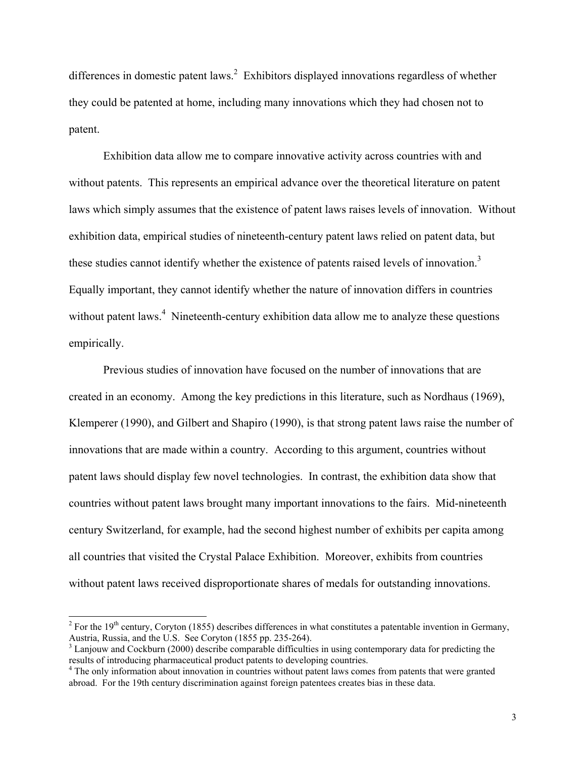differences in domestic patent laws.<sup>2</sup> Exhibitors displayed innovations regardless of whether they could be patented at home, including many innovations which they had chosen not to patent.

Exhibition data allow me to compare innovative activity across countries with and without patents. This represents an empirical advance over the theoretical literature on patent laws which simply assumes that the existence of patent laws raises levels of innovation. Without exhibition data, empirical studies of nineteenth-century patent laws relied on patent data, but these studies cannot identify whether the existence of patents raised levels of innovation.<sup>3</sup> Equally important, they cannot identify whether the nature of innovation differs in countries without patent laws.<sup>4</sup> Nineteenth-century exhibition data allow me to analyze these questions empirically.

Previous studies of innovation have focused on the number of innovations that are created in an economy. Among the key predictions in this literature, such as Nordhaus (1969), Klemperer (1990), and Gilbert and Shapiro (1990), is that strong patent laws raise the number of innovations that are made within a country. According to this argument, countries without patent laws should display few novel technologies. In contrast, the exhibition data show that countries without patent laws brought many important innovations to the fairs. Mid-nineteenth century Switzerland, for example, had the second highest number of exhibits per capita among all countries that visited the Crystal Palace Exhibition. Moreover, exhibits from countries without patent laws received disproportionate shares of medals for outstanding innovations.

<sup>&</sup>lt;sup>2</sup> For the 19<sup>th</sup> century, Coryton (1855) describes differences in what constitutes a patentable invention in Germany, Austria, Russia, and the U.S. See Coryton (1855 pp. 235-264).

<sup>&</sup>lt;sup>3</sup> Lanjouw and Cockburn (2000) describe comparable difficulties in using contemporary data for predicting the results of introducing pharmaceutical product patents to developing countries.<br><sup>4</sup> The only information about innovation in countries without patent laws comes from patents that were granted

abroad. For the 19th century discrimination against foreign patentees creates bias in these data.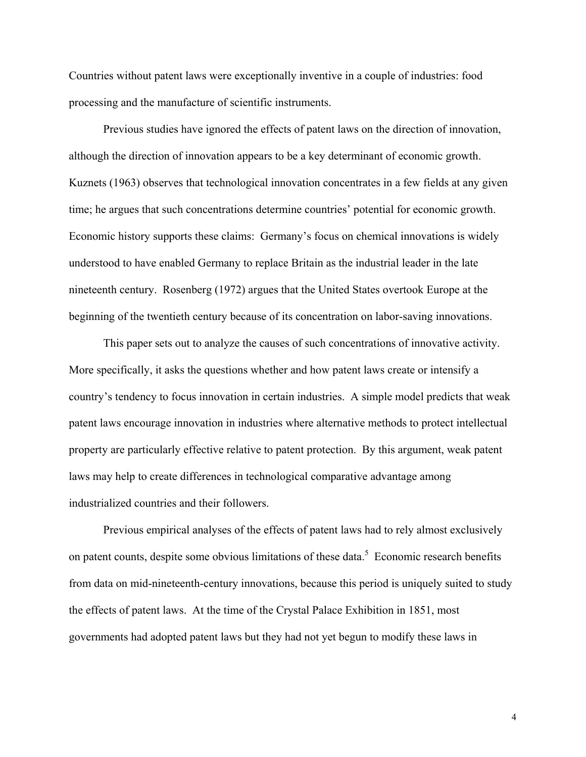Countries without patent laws were exceptionally inventive in a couple of industries: food processing and the manufacture of scientific instruments.

Previous studies have ignored the effects of patent laws on the direction of innovation, although the direction of innovation appears to be a key determinant of economic growth. Kuznets (1963) observes that technological innovation concentrates in a few fields at any given time; he argues that such concentrations determine countries' potential for economic growth. Economic history supports these claims: Germany's focus on chemical innovations is widely understood to have enabled Germany to replace Britain as the industrial leader in the late nineteenth century. Rosenberg (1972) argues that the United States overtook Europe at the beginning of the twentieth century because of its concentration on labor-saving innovations.

This paper sets out to analyze the causes of such concentrations of innovative activity. More specifically, it asks the questions whether and how patent laws create or intensify a country's tendency to focus innovation in certain industries. A simple model predicts that weak patent laws encourage innovation in industries where alternative methods to protect intellectual property are particularly effective relative to patent protection. By this argument, weak patent laws may help to create differences in technological comparative advantage among industrialized countries and their followers.

Previous empirical analyses of the effects of patent laws had to rely almost exclusively on patent counts, despite some obvious limitations of these data.<sup>5</sup> Economic research benefits from data on mid-nineteenth-century innovations, because this period is uniquely suited to study the effects of patent laws. At the time of the Crystal Palace Exhibition in 1851, most governments had adopted patent laws but they had not yet begun to modify these laws in

4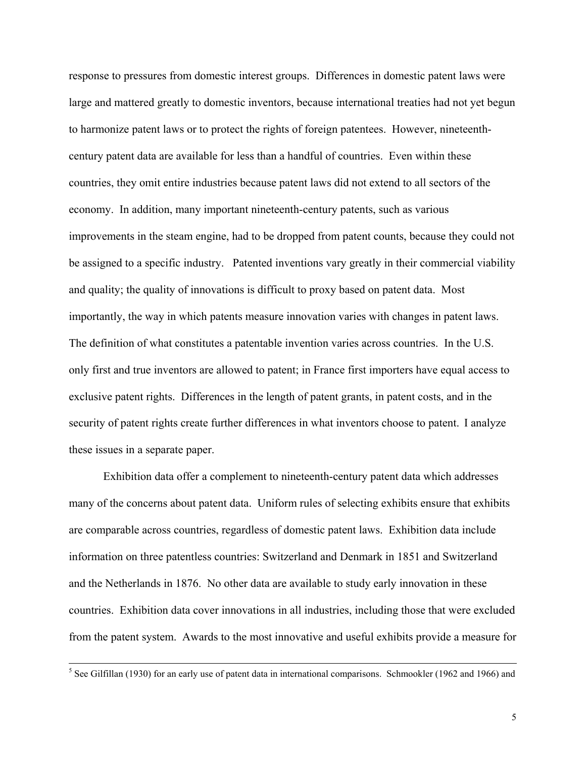response to pressures from domestic interest groups. Differences in domestic patent laws were large and mattered greatly to domestic inventors, because international treaties had not yet begun to harmonize patent laws or to protect the rights of foreign patentees. However, nineteenthcentury patent data are available for less than a handful of countries. Even within these countries, they omit entire industries because patent laws did not extend to all sectors of the economy. In addition, many important nineteenth-century patents, such as various improvements in the steam engine, had to be dropped from patent counts, because they could not be assigned to a specific industry. Patented inventions vary greatly in their commercial viability and quality; the quality of innovations is difficult to proxy based on patent data. Most importantly, the way in which patents measure innovation varies with changes in patent laws. The definition of what constitutes a patentable invention varies across countries. In the U.S. only first and true inventors are allowed to patent; in France first importers have equal access to exclusive patent rights. Differences in the length of patent grants, in patent costs, and in the security of patent rights create further differences in what inventors choose to patent. I analyze these issues in a separate paper.

Exhibition data offer a complement to nineteenth-century patent data which addresses many of the concerns about patent data. Uniform rules of selecting exhibits ensure that exhibits are comparable across countries, regardless of domestic patent laws. Exhibition data include information on three patentless countries: Switzerland and Denmark in 1851 and Switzerland and the Netherlands in 1876. No other data are available to study early innovation in these countries. Exhibition data cover innovations in all industries, including those that were excluded from the patent system. Awards to the most innovative and useful exhibits provide a measure for

 $\frac{1}{5}$  $5$  See Gilfillan (1930) for an early use of patent data in international comparisons. Schmookler (1962 and 1966) and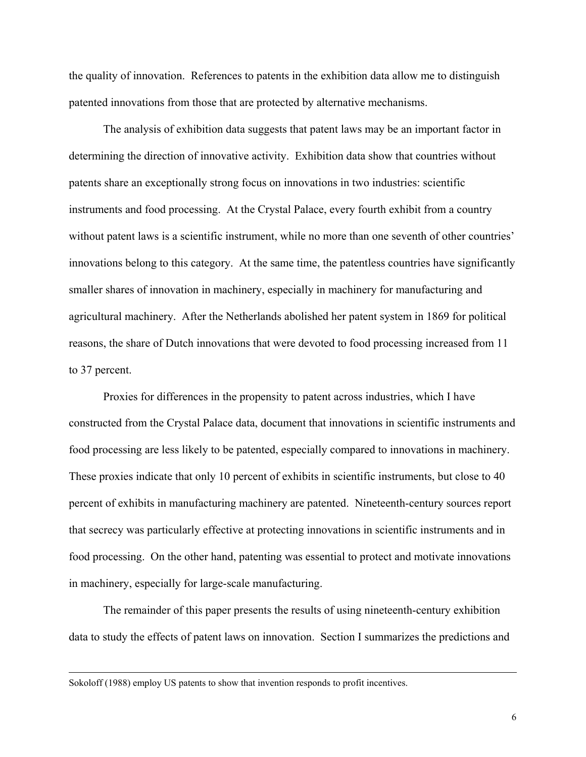the quality of innovation. References to patents in the exhibition data allow me to distinguish patented innovations from those that are protected by alternative mechanisms.

The analysis of exhibition data suggests that patent laws may be an important factor in determining the direction of innovative activity. Exhibition data show that countries without patents share an exceptionally strong focus on innovations in two industries: scientific instruments and food processing. At the Crystal Palace, every fourth exhibit from a country without patent laws is a scientific instrument, while no more than one seventh of other countries' innovations belong to this category. At the same time, the patentless countries have significantly smaller shares of innovation in machinery, especially in machinery for manufacturing and agricultural machinery. After the Netherlands abolished her patent system in 1869 for political reasons, the share of Dutch innovations that were devoted to food processing increased from 11 to 37 percent.

Proxies for differences in the propensity to patent across industries, which I have constructed from the Crystal Palace data, document that innovations in scientific instruments and food processing are less likely to be patented, especially compared to innovations in machinery. These proxies indicate that only 10 percent of exhibits in scientific instruments, but close to 40 percent of exhibits in manufacturing machinery are patented. Nineteenth-century sources report that secrecy was particularly effective at protecting innovations in scientific instruments and in food processing. On the other hand, patenting was essential to protect and motivate innovations in machinery, especially for large-scale manufacturing.

The remainder of this paper presents the results of using nineteenth-century exhibition data to study the effects of patent laws on innovation. Section I summarizes the predictions and

Sokoloff (1988) employ US patents to show that invention responds to profit incentives.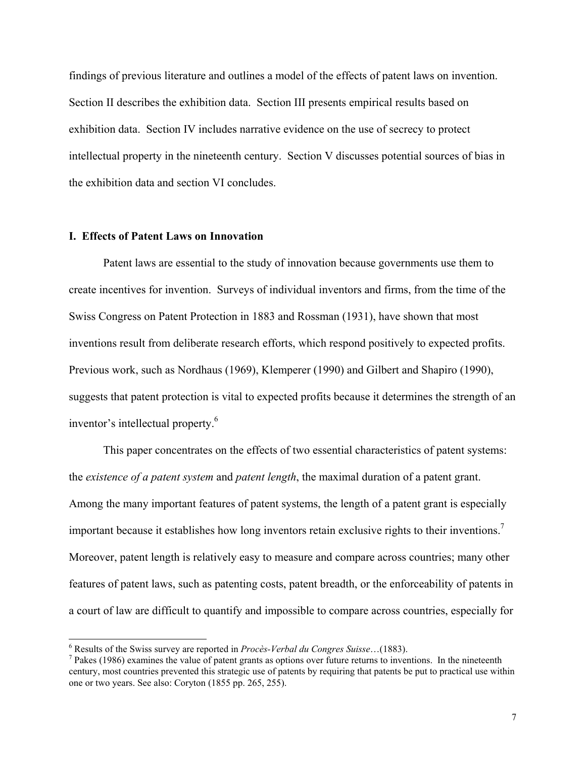findings of previous literature and outlines a model of the effects of patent laws on invention. Section II describes the exhibition data. Section III presents empirical results based on exhibition data. Section IV includes narrative evidence on the use of secrecy to protect intellectual property in the nineteenth century. Section V discusses potential sources of bias in the exhibition data and section VI concludes.

### **I. Effects of Patent Laws on Innovation**

Patent laws are essential to the study of innovation because governments use them to create incentives for invention. Surveys of individual inventors and firms, from the time of the Swiss Congress on Patent Protection in 1883 and Rossman (1931), have shown that most inventions result from deliberate research efforts, which respond positively to expected profits. Previous work, such as Nordhaus (1969), Klemperer (1990) and Gilbert and Shapiro (1990), suggests that patent protection is vital to expected profits because it determines the strength of an inventor's intellectual property.6

This paper concentrates on the effects of two essential characteristics of patent systems: the *existence of a patent system* and *patent length*, the maximal duration of a patent grant. Among the many important features of patent systems, the length of a patent grant is especially important because it establishes how long inventors retain exclusive rights to their inventions.<sup>7</sup> Moreover, patent length is relatively easy to measure and compare across countries; many other features of patent laws, such as patenting costs, patent breadth, or the enforceability of patents in a court of law are difficult to quantify and impossible to compare across countries, especially for

F<br>
<sup>6</sup> Results of the Swiss survey are reported in *Procès-Verbal du Congres Suisse* ...(1883).<br>
<sup>7</sup> Pekes (1986) avamines the value of patent grants as entiens over future returns to inven

 $<sup>7</sup>$  Pakes (1986) examines the value of patent grants as options over future returns to inventions. In the nineteenth</sup> century, most countries prevented this strategic use of patents by requiring that patents be put to practical use within one or two years. See also: Coryton (1855 pp. 265, 255).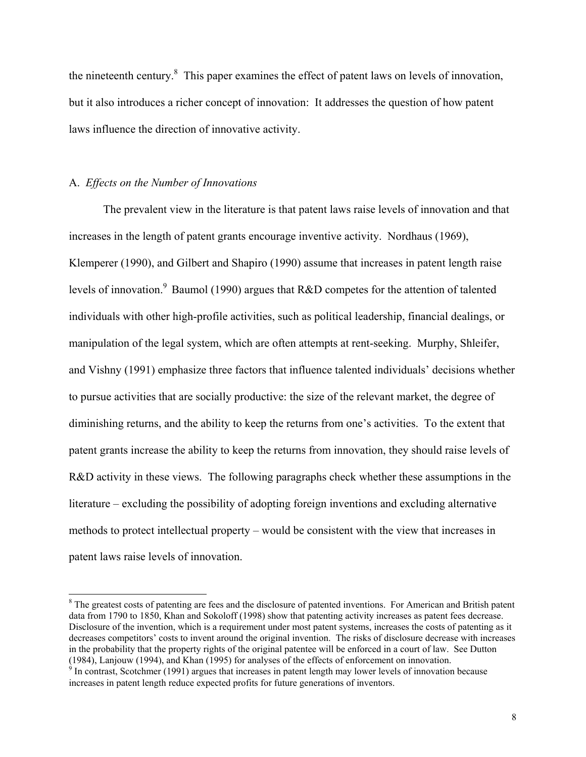the nineteenth century.<sup>8</sup> This paper examines the effect of patent laws on levels of innovation, but it also introduces a richer concept of innovation: It addresses the question of how patent laws influence the direction of innovative activity.

### A. *Effects on the Number of Innovations*

-

The prevalent view in the literature is that patent laws raise levels of innovation and that increases in the length of patent grants encourage inventive activity. Nordhaus (1969), Klemperer (1990), and Gilbert and Shapiro (1990) assume that increases in patent length raise levels of innovation.<sup>9</sup> Baumol (1990) argues that R&D competes for the attention of talented individuals with other high-profile activities, such as political leadership, financial dealings, or manipulation of the legal system, which are often attempts at rent-seeking. Murphy, Shleifer, and Vishny (1991) emphasize three factors that influence talented individuals' decisions whether to pursue activities that are socially productive: the size of the relevant market, the degree of diminishing returns, and the ability to keep the returns from one's activities. To the extent that patent grants increase the ability to keep the returns from innovation, they should raise levels of R&D activity in these views. The following paragraphs check whether these assumptions in the literature – excluding the possibility of adopting foreign inventions and excluding alternative methods to protect intellectual property – would be consistent with the view that increases in patent laws raise levels of innovation.

<sup>&</sup>lt;sup>8</sup> The greatest costs of patenting are fees and the disclosure of patented inventions. For American and British patent data from 1790 to 1850, Khan and Sokoloff (1998) show that patenting activity increases as patent fees decrease. Disclosure of the invention, which is a requirement under most patent systems, increases the costs of patenting as it decreases competitors' costs to invent around the original invention. The risks of disclosure decrease with increases in the probability that the property rights of the original patentee will be enforced in a court of law. See Dutton

<sup>(1984),</sup> Lanjouw (1994), and Khan (1995) for analyses of the effects of enforcement on innovation.<br><sup>9</sup> In contrast, Scotchmer (1991) argues that increases in patent length may lower levels of innovation because increases in patent length reduce expected profits for future generations of inventors.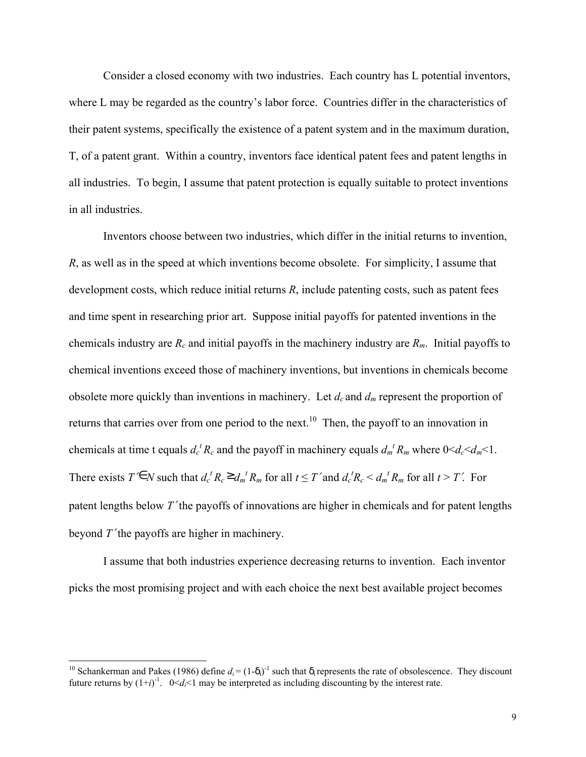Consider a closed economy with two industries. Each country has L potential inventors, where L may be regarded as the country's labor force. Countries differ in the characteristics of their patent systems, specifically the existence of a patent system and in the maximum duration, T, of a patent grant. Within a country, inventors face identical patent fees and patent lengths in all industries. To begin, I assume that patent protection is equally suitable to protect inventions in all industries.

Inventors choose between two industries, which differ in the initial returns to invention, *R*, as well as in the speed at which inventions become obsolete. For simplicity, I assume that development costs, which reduce initial returns *R*, include patenting costs, such as patent fees and time spent in researching prior art. Suppose initial payoffs for patented inventions in the chemicals industry are  $R_c$  and initial payoffs in the machinery industry are  $R_m$ . Initial payoffs to chemical inventions exceed those of machinery inventions, but inventions in chemicals become obsolete more quickly than inventions in machinery. Let  $d_c$  and  $d_m$  represent the proportion of returns that carries over from one period to the next.<sup>10</sup> Then, the payoff to an innovation in chemicals at time t equals  $d_c^{\ t} R_c$  and the payoff in machinery equals  $d_m^{\ t} R_m$  where  $0 \le d_c \le d_m \le 1$ . There exists  $T \in N$  such that  $d_c^t R_c \ge d_m^t R_m$  for all  $t \le T'$  and  $d_c^t R_c \le d_m^t R_m$  for all  $t > T'$ . For patent lengths below *T*′ the payoffs of innovations are higher in chemicals and for patent lengths beyond *T*′ the payoffs are higher in machinery.

I assume that both industries experience decreasing returns to invention. Each inventor picks the most promising project and with each choice the next best available project becomes

<sup>&</sup>lt;sup>10</sup> Schankerman and Pakes (1986) define  $d_i = (1-\delta_i)^{-1}$  such that  $\delta_i$  represents the rate of obsolescence. They discount future returns by  $(1+i)^{-1}$ .  $0 \le d_i \le 1$  may be interpreted as including discounting by the interest rate.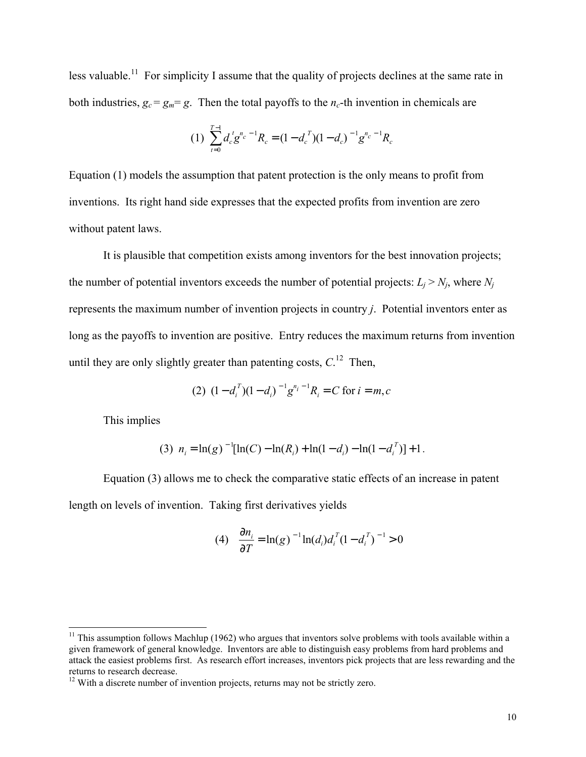less valuable.<sup>11</sup> For simplicity I assume that the quality of projects declines at the same rate in both industries,  $g_c = g_m = g$ . Then the total payoffs to the  $n_c$ -th invention in chemicals are

(1) 
$$
\sum_{t=0}^{T-1} d_c^t g^{n_c-1} R_c = (1 - d_c^T)(1 - d_c)^{-1} g^{n_c-1} R_c
$$

Equation (1) models the assumption that patent protection is the only means to profit from inventions. Its right hand side expresses that the expected profits from invention are zero without patent laws.

It is plausible that competition exists among inventors for the best innovation projects; the number of potential inventors exceeds the number of potential projects:  $L_i > N_i$ , where  $N_i$ represents the maximum number of invention projects in country *j*. Potential inventors enter as long as the payoffs to invention are positive. Entry reduces the maximum returns from invention until they are only slightly greater than patenting costs,  $C^{12}$  Then,

(2) 
$$
(1 - d_i^T)(1 - d_i)^{-1}g^{n_i - 1}R_i = C
$$
 for  $i = m, c$ 

This implies

1

(3) 
$$
n_i = \ln(g)^{-1}[\ln(C) - \ln(R_i) + \ln(1 - d_i) - \ln(1 - d_i^T)] + 1
$$
.

Equation (3) allows me to check the comparative static effects of an increase in patent length on levels of invention. Taking first derivatives yields

(4) 
$$
\frac{\partial n_i}{\partial T} = \ln(g)^{-1} \ln(d_i) d_i^T (1 - d_i^T)^{-1} > 0
$$

 $11$  This assumption follows Machlup (1962) who argues that inventors solve problems with tools available within a given framework of general knowledge. Inventors are able to distinguish easy problems from hard problems and attack the easiest problems first. As research effort increases, inventors pick projects that are less rewarding and the returns to research decrease.

<sup>&</sup>lt;sup>12</sup> With a discrete number of invention projects, returns may not be strictly zero.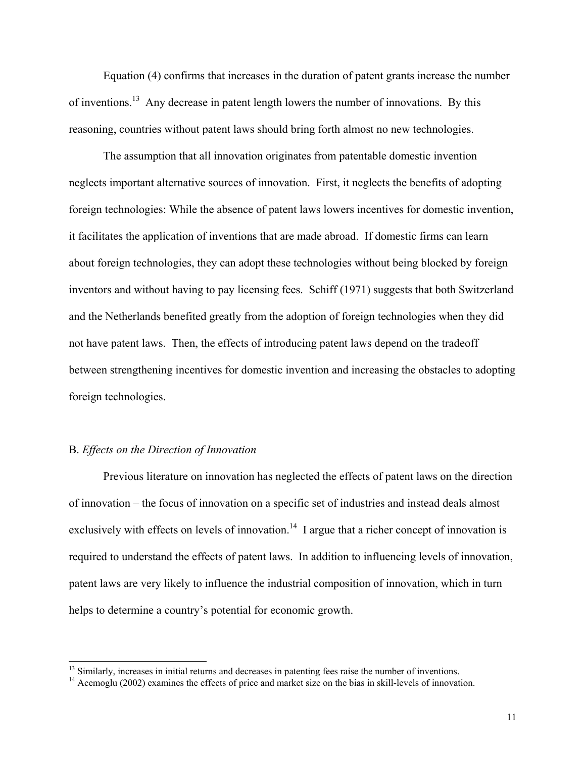Equation (4) confirms that increases in the duration of patent grants increase the number of inventions.<sup>13</sup> Any decrease in patent length lowers the number of innovations. By this reasoning, countries without patent laws should bring forth almost no new technologies.

The assumption that all innovation originates from patentable domestic invention neglects important alternative sources of innovation. First, it neglects the benefits of adopting foreign technologies: While the absence of patent laws lowers incentives for domestic invention, it facilitates the application of inventions that are made abroad. If domestic firms can learn about foreign technologies, they can adopt these technologies without being blocked by foreign inventors and without having to pay licensing fees. Schiff (1971) suggests that both Switzerland and the Netherlands benefited greatly from the adoption of foreign technologies when they did not have patent laws. Then, the effects of introducing patent laws depend on the tradeoff between strengthening incentives for domestic invention and increasing the obstacles to adopting foreign technologies.

### B. *Effects on the Direction of Innovation*

-

Previous literature on innovation has neglected the effects of patent laws on the direction of innovation – the focus of innovation on a specific set of industries and instead deals almost exclusively with effects on levels of innovation.<sup>14</sup> I argue that a richer concept of innovation is required to understand the effects of patent laws. In addition to influencing levels of innovation, patent laws are very likely to influence the industrial composition of innovation, which in turn helps to determine a country's potential for economic growth.

<sup>&</sup>lt;sup>13</sup> Similarly, increases in initial returns and decreases in patenting fees raise the number of inventions.

<sup>&</sup>lt;sup>14</sup> Acemoglu (2002) examines the effects of price and market size on the bias in skill-levels of innovation.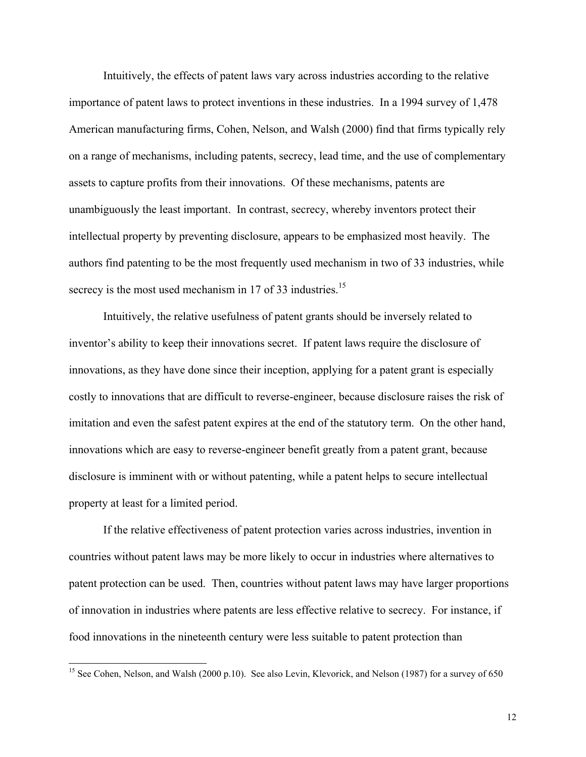Intuitively, the effects of patent laws vary across industries according to the relative importance of patent laws to protect inventions in these industries. In a 1994 survey of 1,478 American manufacturing firms, Cohen, Nelson, and Walsh (2000) find that firms typically rely on a range of mechanisms, including patents, secrecy, lead time, and the use of complementary assets to capture profits from their innovations. Of these mechanisms, patents are unambiguously the least important. In contrast, secrecy, whereby inventors protect their intellectual property by preventing disclosure, appears to be emphasized most heavily. The authors find patenting to be the most frequently used mechanism in two of 33 industries, while secrecy is the most used mechanism in 17 of 33 industries.<sup>15</sup>

Intuitively, the relative usefulness of patent grants should be inversely related to inventor's ability to keep their innovations secret. If patent laws require the disclosure of innovations, as they have done since their inception, applying for a patent grant is especially costly to innovations that are difficult to reverse-engineer, because disclosure raises the risk of imitation and even the safest patent expires at the end of the statutory term. On the other hand, innovations which are easy to reverse-engineer benefit greatly from a patent grant, because disclosure is imminent with or without patenting, while a patent helps to secure intellectual property at least for a limited period.

If the relative effectiveness of patent protection varies across industries, invention in countries without patent laws may be more likely to occur in industries where alternatives to patent protection can be used. Then, countries without patent laws may have larger proportions of innovation in industries where patents are less effective relative to secrecy. For instance, if food innovations in the nineteenth century were less suitable to patent protection than

<sup>&</sup>lt;sup>15</sup> See Cohen, Nelson, and Walsh (2000 p.10). See also Levin, Klevorick, and Nelson (1987) for a survey of 650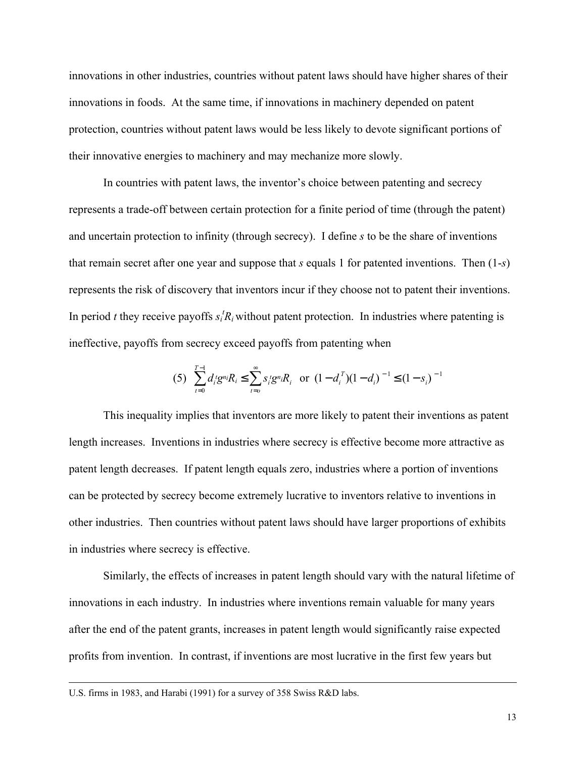innovations in other industries, countries without patent laws should have higher shares of their innovations in foods. At the same time, if innovations in machinery depended on patent protection, countries without patent laws would be less likely to devote significant portions of their innovative energies to machinery and may mechanize more slowly.

In countries with patent laws, the inventor's choice between patenting and secrecy represents a trade-off between certain protection for a finite period of time (through the patent) and uncertain protection to infinity (through secrecy). I define *s* to be the share of inventions that remain secret after one year and suppose that *s* equals 1 for patented inventions. Then (1-*s*) represents the risk of discovery that inventors incur if they choose not to patent their inventions. In period *t* they receive payoffs  $s_i^t R_i$  without patent protection. In industries where patenting is ineffective, payoffs from secrecy exceed payoffs from patenting when

$$
(5) \sum_{t=0}^{T-1} d_i g^{n_i} R_i \le \sum_{t=0}^{\infty} s_i t g^{n_i} R_i \text{ or } (1 - d_i)^T (1 - d_i)^{-1} \le (1 - s_i)^{-1}
$$

This inequality implies that inventors are more likely to patent their inventions as patent length increases. Inventions in industries where secrecy is effective become more attractive as patent length decreases. If patent length equals zero, industries where a portion of inventions can be protected by secrecy become extremely lucrative to inventors relative to inventions in other industries. Then countries without patent laws should have larger proportions of exhibits in industries where secrecy is effective.

Similarly, the effects of increases in patent length should vary with the natural lifetime of innovations in each industry. In industries where inventions remain valuable for many years after the end of the patent grants, increases in patent length would significantly raise expected profits from invention. In contrast, if inventions are most lucrative in the first few years but

1

U.S. firms in 1983, and Harabi (1991) for a survey of 358 Swiss R&D labs.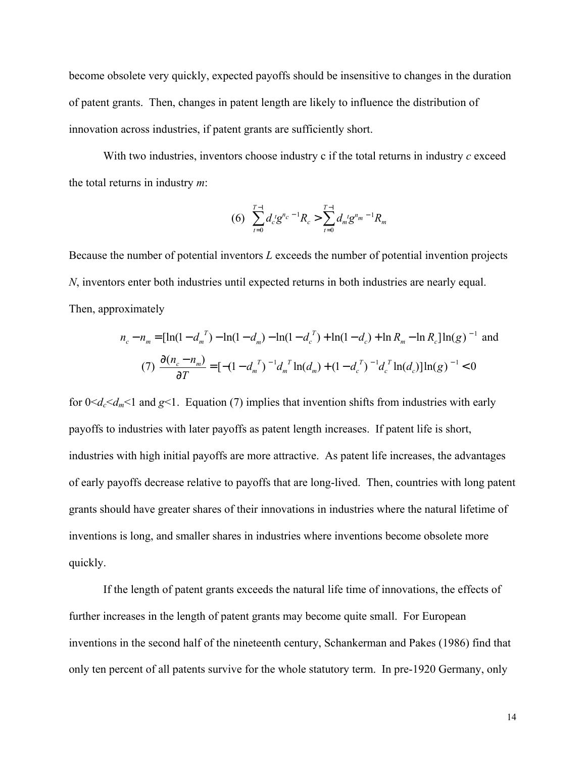become obsolete very quickly, expected payoffs should be insensitive to changes in the duration of patent grants. Then, changes in patent length are likely to influence the distribution of innovation across industries, if patent grants are sufficiently short.

With two industries, inventors choose industry c if the total returns in industry *c* exceed the total returns in industry *m*:

$$
(6) \sum_{t=0}^{T-1} d_c^t g^{n_c-1} R_c > \sum_{t=0}^{T-1} d_m^t g^{n_m-1} R_m
$$

Because the number of potential inventors *L* exceeds the number of potential invention projects *N*, inventors enter both industries until expected returns in both industries are nearly equal. Then, approximately

$$
n_c - n_m = [\ln(1 - d_m^T) - \ln(1 - d_m) - \ln(1 - d_c^T) + \ln(1 - d_c) + \ln R_m - \ln R_c] \ln(g)^{-1}
$$
and  
(7) 
$$
\frac{\partial (n_c - n_m)}{\partial T} = [- (1 - d_m^T)^{-1} d_m^T \ln(d_m) + (1 - d_c^T)^{-1} d_c^T \ln(d_c)] \ln(g)^{-1} < 0
$$

for  $0 \le d_c \le d_m \le 1$  and  $g \le 1$ . Equation (7) implies that invention shifts from industries with early payoffs to industries with later payoffs as patent length increases. If patent life is short, industries with high initial payoffs are more attractive. As patent life increases, the advantages of early payoffs decrease relative to payoffs that are long-lived. Then, countries with long patent grants should have greater shares of their innovations in industries where the natural lifetime of inventions is long, and smaller shares in industries where inventions become obsolete more quickly.

If the length of patent grants exceeds the natural life time of innovations, the effects of further increases in the length of patent grants may become quite small. For European inventions in the second half of the nineteenth century, Schankerman and Pakes (1986) find that only ten percent of all patents survive for the whole statutory term. In pre-1920 Germany, only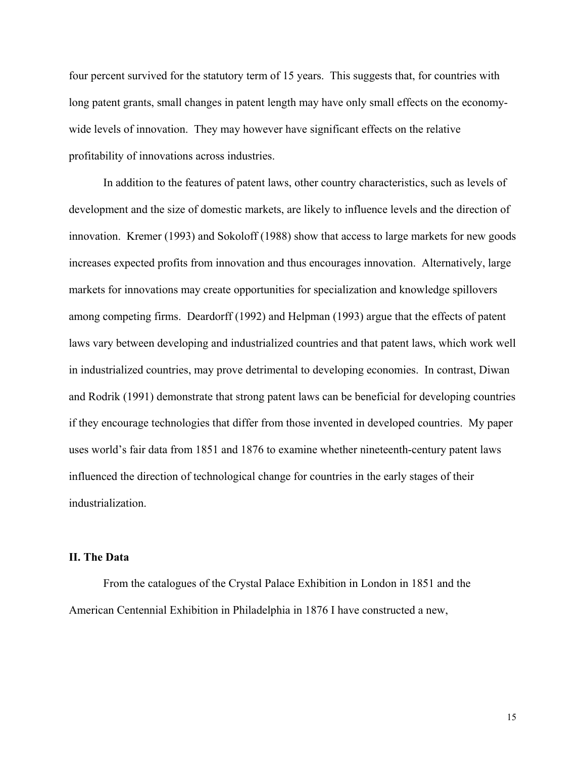four percent survived for the statutory term of 15 years. This suggests that, for countries with long patent grants, small changes in patent length may have only small effects on the economywide levels of innovation. They may however have significant effects on the relative profitability of innovations across industries.

In addition to the features of patent laws, other country characteristics, such as levels of development and the size of domestic markets, are likely to influence levels and the direction of innovation. Kremer (1993) and Sokoloff (1988) show that access to large markets for new goods increases expected profits from innovation and thus encourages innovation. Alternatively, large markets for innovations may create opportunities for specialization and knowledge spillovers among competing firms. Deardorff (1992) and Helpman (1993) argue that the effects of patent laws vary between developing and industrialized countries and that patent laws, which work well in industrialized countries, may prove detrimental to developing economies. In contrast, Diwan and Rodrik (1991) demonstrate that strong patent laws can be beneficial for developing countries if they encourage technologies that differ from those invented in developed countries. My paper uses world's fair data from 1851 and 1876 to examine whether nineteenth-century patent laws influenced the direction of technological change for countries in the early stages of their industrialization.

### **II. The Data**

From the catalogues of the Crystal Palace Exhibition in London in 1851 and the American Centennial Exhibition in Philadelphia in 1876 I have constructed a new,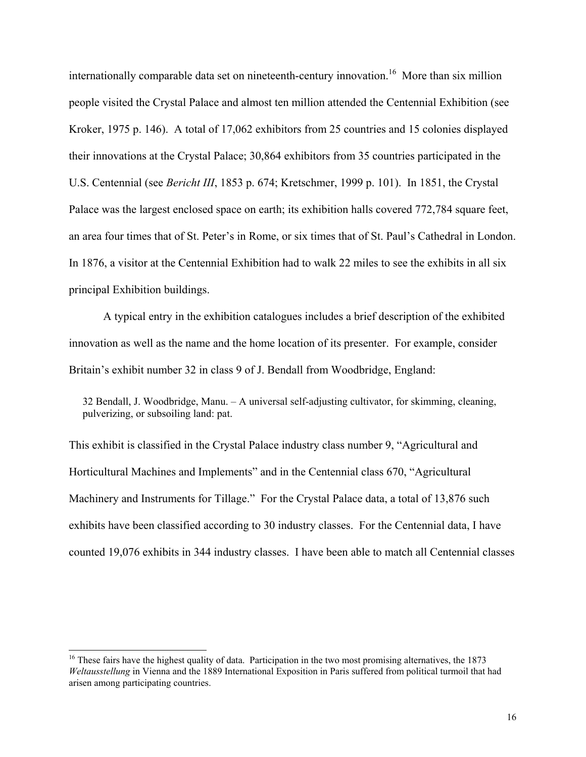internationally comparable data set on nineteenth-century innovation.<sup>16</sup> More than six million people visited the Crystal Palace and almost ten million attended the Centennial Exhibition (see Kroker, 1975 p. 146). A total of 17,062 exhibitors from 25 countries and 15 colonies displayed their innovations at the Crystal Palace; 30,864 exhibitors from 35 countries participated in the U.S. Centennial (see *Bericht III*, 1853 p. 674; Kretschmer, 1999 p. 101). In 1851, the Crystal Palace was the largest enclosed space on earth; its exhibition halls covered 772,784 square feet, an area four times that of St. Peter's in Rome, or six times that of St. Paul's Cathedral in London. In 1876, a visitor at the Centennial Exhibition had to walk 22 miles to see the exhibits in all six principal Exhibition buildings.

A typical entry in the exhibition catalogues includes a brief description of the exhibited innovation as well as the name and the home location of its presenter. For example, consider Britain's exhibit number 32 in class 9 of J. Bendall from Woodbridge, England:

32 Bendall, J. Woodbridge, Manu. – A universal self-adjusting cultivator, for skimming, cleaning, pulverizing, or subsoiling land: pat.

This exhibit is classified in the Crystal Palace industry class number 9, "Agricultural and Horticultural Machines and Implements" and in the Centennial class 670, "Agricultural Machinery and Instruments for Tillage." For the Crystal Palace data, a total of 13,876 such exhibits have been classified according to 30 industry classes. For the Centennial data, I have counted 19,076 exhibits in 344 industry classes. I have been able to match all Centennial classes

<sup>&</sup>lt;sup>16</sup> These fairs have the highest quality of data. Participation in the two most promising alternatives, the 1873 *Weltausstellung* in Vienna and the 1889 International Exposition in Paris suffered from political turmoil that had arisen among participating countries.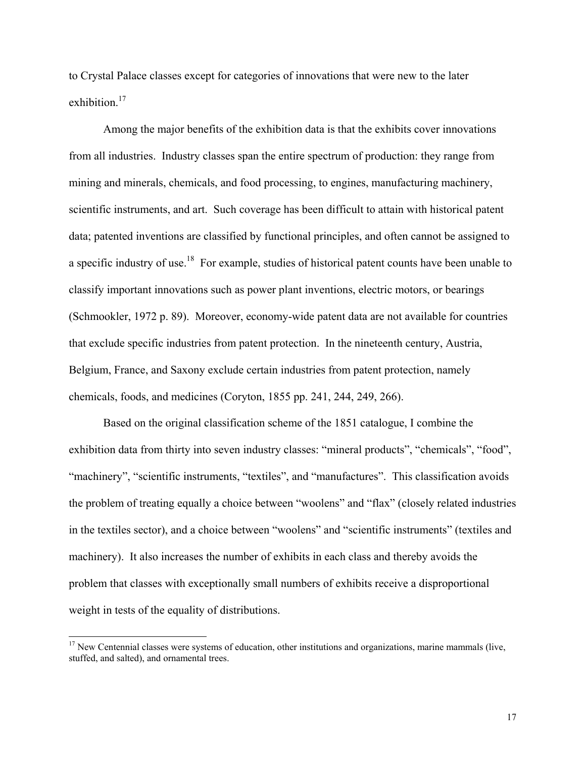to Crystal Palace classes except for categories of innovations that were new to the later exhibition. $17$ 

Among the major benefits of the exhibition data is that the exhibits cover innovations from all industries. Industry classes span the entire spectrum of production: they range from mining and minerals, chemicals, and food processing, to engines, manufacturing machinery, scientific instruments, and art. Such coverage has been difficult to attain with historical patent data; patented inventions are classified by functional principles, and often cannot be assigned to a specific industry of use.<sup>18</sup> For example, studies of historical patent counts have been unable to classify important innovations such as power plant inventions, electric motors, or bearings (Schmookler, 1972 p. 89). Moreover, economy-wide patent data are not available for countries that exclude specific industries from patent protection. In the nineteenth century, Austria, Belgium, France, and Saxony exclude certain industries from patent protection, namely chemicals, foods, and medicines (Coryton, 1855 pp. 241, 244, 249, 266).

 Based on the original classification scheme of the 1851 catalogue, I combine the exhibition data from thirty into seven industry classes: "mineral products", "chemicals", "food", "machinery", "scientific instruments, "textiles", and "manufactures". This classification avoids the problem of treating equally a choice between "woolens" and "flax" (closely related industries in the textiles sector), and a choice between "woolens" and "scientific instruments" (textiles and machinery). It also increases the number of exhibits in each class and thereby avoids the problem that classes with exceptionally small numbers of exhibits receive a disproportional weight in tests of the equality of distributions.

1

 $17$  New Centennial classes were systems of education, other institutions and organizations, marine mammals (live, stuffed, and salted), and ornamental trees.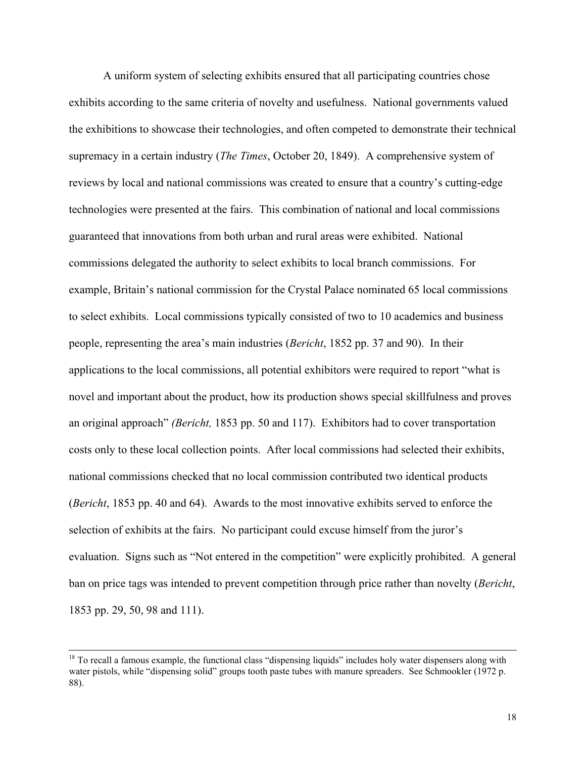A uniform system of selecting exhibits ensured that all participating countries chose exhibits according to the same criteria of novelty and usefulness. National governments valued the exhibitions to showcase their technologies, and often competed to demonstrate their technical supremacy in a certain industry (*The Times*, October 20, 1849). A comprehensive system of reviews by local and national commissions was created to ensure that a country's cutting-edge technologies were presented at the fairs. This combination of national and local commissions guaranteed that innovations from both urban and rural areas were exhibited. National commissions delegated the authority to select exhibits to local branch commissions. For example, Britain's national commission for the Crystal Palace nominated 65 local commissions to select exhibits. Local commissions typically consisted of two to 10 academics and business people, representing the area's main industries (*Bericht*, 1852 pp. 37 and 90). In their applications to the local commissions, all potential exhibitors were required to report "what is novel and important about the product, how its production shows special skillfulness and proves an original approach" *(Bericht,* 1853 pp. 50 and 117). Exhibitors had to cover transportation costs only to these local collection points. After local commissions had selected their exhibits, national commissions checked that no local commission contributed two identical products (*Bericht*, 1853 pp. 40 and 64). Awards to the most innovative exhibits served to enforce the selection of exhibits at the fairs. No participant could excuse himself from the juror's evaluation. Signs such as "Not entered in the competition" were explicitly prohibited. A general ban on price tags was intended to prevent competition through price rather than novelty (*Bericht*, 1853 pp. 29, 50, 98 and 111).

 $18$  To recall a famous example, the functional class "dispensing liquids" includes holy water dispensers along with water pistols, while "dispensing solid" groups tooth paste tubes with manure spreaders. See Schmookler (1972 p. 88).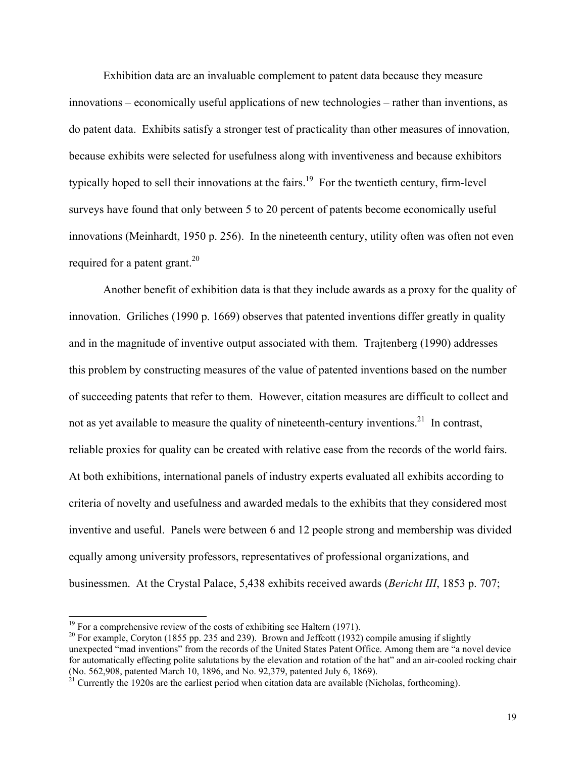Exhibition data are an invaluable complement to patent data because they measure innovations – economically useful applications of new technologies – rather than inventions, as do patent data. Exhibits satisfy a stronger test of practicality than other measures of innovation, because exhibits were selected for usefulness along with inventiveness and because exhibitors typically hoped to sell their innovations at the fairs.<sup>19</sup> For the twentieth century, firm-level surveys have found that only between 5 to 20 percent of patents become economically useful innovations (Meinhardt, 1950 p. 256). In the nineteenth century, utility often was often not even required for a patent grant. $^{20}$ 

Another benefit of exhibition data is that they include awards as a proxy for the quality of innovation. Griliches (1990 p. 1669) observes that patented inventions differ greatly in quality and in the magnitude of inventive output associated with them. Trajtenberg (1990) addresses this problem by constructing measures of the value of patented inventions based on the number of succeeding patents that refer to them. However, citation measures are difficult to collect and not as yet available to measure the quality of nineteenth-century inventions.<sup>21</sup> In contrast, reliable proxies for quality can be created with relative ease from the records of the world fairs. At both exhibitions, international panels of industry experts evaluated all exhibits according to criteria of novelty and usefulness and awarded medals to the exhibits that they considered most inventive and useful. Panels were between 6 and 12 people strong and membership was divided equally among university professors, representatives of professional organizations, and businessmen. At the Crystal Palace, 5,438 exhibits received awards (*Bericht III*, 1853 p. 707;

 $19$  For a comprehensive review of the costs of exhibiting see Haltern (1971).

<sup>&</sup>lt;sup>20</sup> For example, Coryton (1855 pp. 235 and 239). Brown and Jeffcott (1932) compile amusing if slightly unexpected "mad inventions" from the records of the United States Patent Office. Among them are "a novel device for automatically effecting polite salutations by the elevation and rotation of the hat" and an air-cooled rocking chair (No. 562,908, patented March 10, 1896, and No. 92,379, patented July 6, 1869).

 $^{21}$  Currently the 1920s are the earliest period when citation data are available (Nicholas, forthcoming).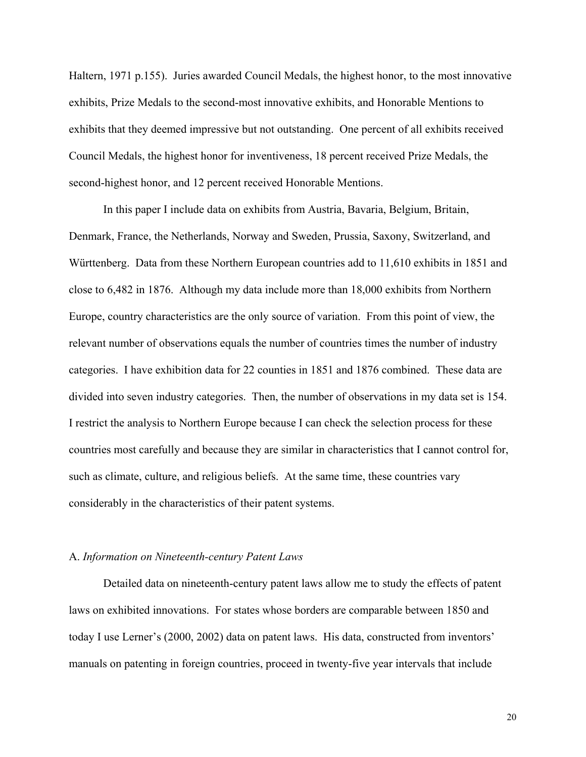Haltern, 1971 p.155). Juries awarded Council Medals, the highest honor, to the most innovative exhibits, Prize Medals to the second-most innovative exhibits, and Honorable Mentions to exhibits that they deemed impressive but not outstanding. One percent of all exhibits received Council Medals, the highest honor for inventiveness, 18 percent received Prize Medals, the second-highest honor, and 12 percent received Honorable Mentions.

In this paper I include data on exhibits from Austria, Bavaria, Belgium, Britain, Denmark, France, the Netherlands, Norway and Sweden, Prussia, Saxony, Switzerland, and Württenberg. Data from these Northern European countries add to 11,610 exhibits in 1851 and close to 6,482 in 1876. Although my data include more than 18,000 exhibits from Northern Europe, country characteristics are the only source of variation. From this point of view, the relevant number of observations equals the number of countries times the number of industry categories. I have exhibition data for 22 counties in 1851 and 1876 combined. These data are divided into seven industry categories. Then, the number of observations in my data set is 154. I restrict the analysis to Northern Europe because I can check the selection process for these countries most carefully and because they are similar in characteristics that I cannot control for, such as climate, culture, and religious beliefs. At the same time, these countries vary considerably in the characteristics of their patent systems.

## A. *Information on Nineteenth-century Patent Laws*

Detailed data on nineteenth-century patent laws allow me to study the effects of patent laws on exhibited innovations. For states whose borders are comparable between 1850 and today I use Lerner's (2000, 2002) data on patent laws. His data, constructed from inventors' manuals on patenting in foreign countries, proceed in twenty-five year intervals that include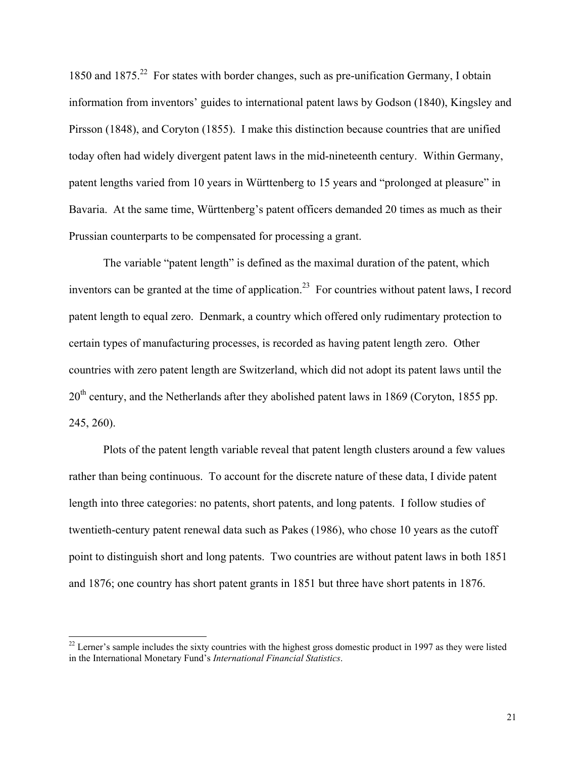1850 and  $1875<sup>22</sup>$  For states with border changes, such as pre-unification Germany, I obtain information from inventors' guides to international patent laws by Godson (1840), Kingsley and Pirsson (1848), and Coryton (1855). I make this distinction because countries that are unified today often had widely divergent patent laws in the mid-nineteenth century. Within Germany, patent lengths varied from 10 years in Württenberg to 15 years and "prolonged at pleasure" in Bavaria. At the same time, Württenberg's patent officers demanded 20 times as much as their Prussian counterparts to be compensated for processing a grant.

The variable "patent length" is defined as the maximal duration of the patent, which inventors can be granted at the time of application.<sup>23</sup> For countries without patent laws, I record patent length to equal zero. Denmark, a country which offered only rudimentary protection to certain types of manufacturing processes, is recorded as having patent length zero. Other countries with zero patent length are Switzerland, which did not adopt its patent laws until the 20<sup>th</sup> century, and the Netherlands after they abolished patent laws in 1869 (Coryton, 1855 pp. 245, 260).

Plots of the patent length variable reveal that patent length clusters around a few values rather than being continuous. To account for the discrete nature of these data, I divide patent length into three categories: no patents, short patents, and long patents. I follow studies of twentieth-century patent renewal data such as Pakes (1986), who chose 10 years as the cutoff point to distinguish short and long patents. Two countries are without patent laws in both 1851 and 1876; one country has short patent grants in 1851 but three have short patents in 1876.

1

 $22$  Lerner's sample includes the sixty countries with the highest gross domestic product in 1997 as they were listed in the International Monetary Fund's *International Financial Statistics*.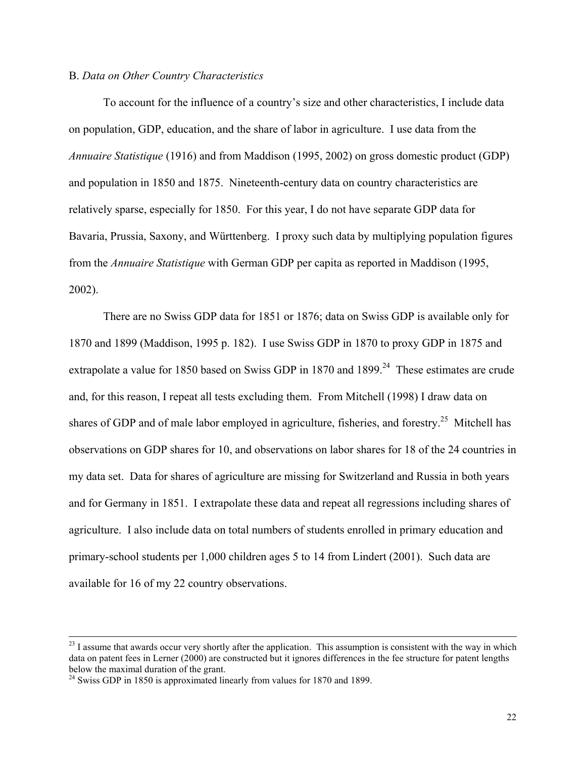### B. *Data on Other Country Characteristics*

To account for the influence of a country's size and other characteristics, I include data on population, GDP, education, and the share of labor in agriculture. I use data from the *Annuaire Statistique* (1916) and from Maddison (1995, 2002) on gross domestic product (GDP) and population in 1850 and 1875. Nineteenth-century data on country characteristics are relatively sparse, especially for 1850. For this year, I do not have separate GDP data for Bavaria, Prussia, Saxony, and Württenberg. I proxy such data by multiplying population figures from the *Annuaire Statistique* with German GDP per capita as reported in Maddison (1995, 2002).

There are no Swiss GDP data for 1851 or 1876; data on Swiss GDP is available only for 1870 and 1899 (Maddison, 1995 p. 182). I use Swiss GDP in 1870 to proxy GDP in 1875 and extrapolate a value for 1850 based on Swiss GDP in 1870 and 1899.<sup>24</sup> These estimates are crude and, for this reason, I repeat all tests excluding them. From Mitchell (1998) I draw data on shares of GDP and of male labor employed in agriculture, fisheries, and forestry.<sup>25</sup> Mitchell has observations on GDP shares for 10, and observations on labor shares for 18 of the 24 countries in my data set. Data for shares of agriculture are missing for Switzerland and Russia in both years and for Germany in 1851. I extrapolate these data and repeat all regressions including shares of agriculture. I also include data on total numbers of students enrolled in primary education and primary-school students per 1,000 children ages 5 to 14 from Lindert (2001). Such data are available for 16 of my 22 country observations.

 $23$  I assume that awards occur very shortly after the application. This assumption is consistent with the way in which data on patent fees in Lerner (2000) are constructed but it ignores differences in the fee structure for patent lengths below the maximal duration of the grant.

<sup>&</sup>lt;sup>24</sup> Swiss GDP in 1850 is approximated linearly from values for 1870 and 1899.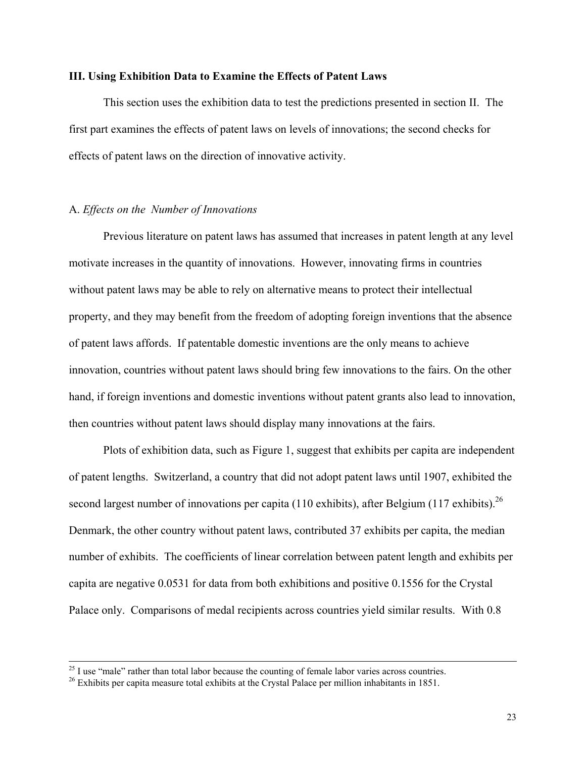### **III. Using Exhibition Data to Examine the Effects of Patent Laws**

This section uses the exhibition data to test the predictions presented in section II. The first part examines the effects of patent laws on levels of innovations; the second checks for effects of patent laws on the direction of innovative activity.

## A. *Effects on the Number of Innovations*

Previous literature on patent laws has assumed that increases in patent length at any level motivate increases in the quantity of innovations. However, innovating firms in countries without patent laws may be able to rely on alternative means to protect their intellectual property, and they may benefit from the freedom of adopting foreign inventions that the absence of patent laws affords. If patentable domestic inventions are the only means to achieve innovation, countries without patent laws should bring few innovations to the fairs. On the other hand, if foreign inventions and domestic inventions without patent grants also lead to innovation, then countries without patent laws should display many innovations at the fairs.

Plots of exhibition data, such as Figure 1, suggest that exhibits per capita are independent of patent lengths. Switzerland, a country that did not adopt patent laws until 1907, exhibited the second largest number of innovations per capita (110 exhibits), after Belgium (117 exhibits).<sup>26</sup> Denmark, the other country without patent laws, contributed 37 exhibits per capita, the median number of exhibits. The coefficients of linear correlation between patent length and exhibits per capita are negative 0.0531 for data from both exhibitions and positive 0.1556 for the Crystal Palace only. Comparisons of medal recipients across countries yield similar results. With 0.8

<sup>&</sup>lt;sup>25</sup> I use "male" rather than total labor because the counting of female labor varies across countries. <sup>26</sup> Exhibits per capita measure total exhibits at the Crystal Palace per million inhabitants in 1851.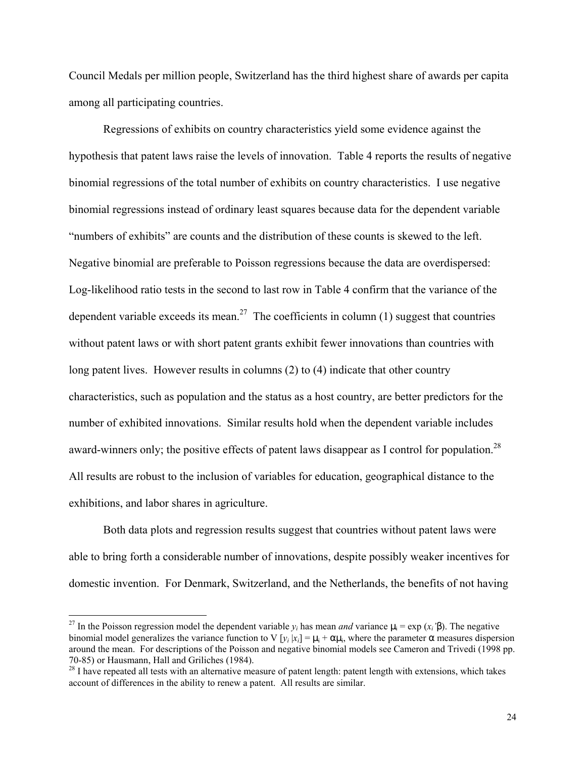Council Medals per million people, Switzerland has the third highest share of awards per capita among all participating countries.

Regressions of exhibits on country characteristics yield some evidence against the hypothesis that patent laws raise the levels of innovation. Table 4 reports the results of negative binomial regressions of the total number of exhibits on country characteristics. I use negative binomial regressions instead of ordinary least squares because data for the dependent variable "numbers of exhibits" are counts and the distribution of these counts is skewed to the left. Negative binomial are preferable to Poisson regressions because the data are overdispersed: Log-likelihood ratio tests in the second to last row in Table 4 confirm that the variance of the dependent variable exceeds its mean.<sup>27</sup> The coefficients in column (1) suggest that countries without patent laws or with short patent grants exhibit fewer innovations than countries with long patent lives. However results in columns (2) to (4) indicate that other country characteristics, such as population and the status as a host country, are better predictors for the number of exhibited innovations. Similar results hold when the dependent variable includes award-winners only; the positive effects of patent laws disappear as I control for population.<sup>28</sup> All results are robust to the inclusion of variables for education, geographical distance to the exhibitions, and labor shares in agriculture.

Both data plots and regression results suggest that countries without patent laws were able to bring forth a considerable number of innovations, despite possibly weaker incentives for domestic invention. For Denmark, Switzerland, and the Netherlands, the benefits of not having

<sup>&</sup>lt;sup>27</sup> In the Poisson regression model the dependent variable  $y_i$  has mean *and* variance  $\mu_i = \exp(x_i/\beta)$ . The negative binomial model generalizes the variance function to V [ $v_i$  | $x_i$ ] =  $\mu_i$  + α $\mu_j$ , where the parameter α measures dispersion around the mean. For descriptions of the Poisson and negative binomial models see Cameron and Trivedi (1998 pp. 70-85) or Hausmann, Hall and Griliches (1984).

<sup>&</sup>lt;sup>28</sup> I have repeated all tests with an alternative measure of patent length: patent length with extensions, which takes account of differences in the ability to renew a patent. All results are similar.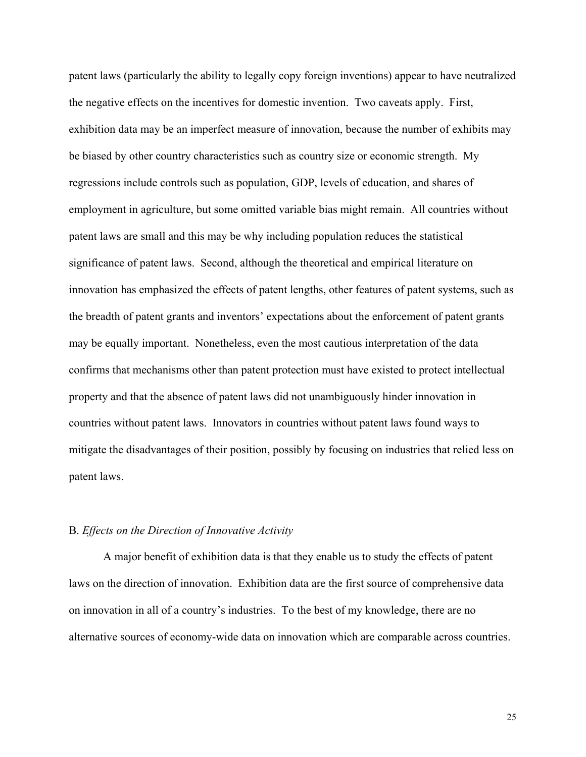patent laws (particularly the ability to legally copy foreign inventions) appear to have neutralized the negative effects on the incentives for domestic invention. Two caveats apply. First, exhibition data may be an imperfect measure of innovation, because the number of exhibits may be biased by other country characteristics such as country size or economic strength. My regressions include controls such as population, GDP, levels of education, and shares of employment in agriculture, but some omitted variable bias might remain. All countries without patent laws are small and this may be why including population reduces the statistical significance of patent laws. Second, although the theoretical and empirical literature on innovation has emphasized the effects of patent lengths, other features of patent systems, such as the breadth of patent grants and inventors' expectations about the enforcement of patent grants may be equally important. Nonetheless, even the most cautious interpretation of the data confirms that mechanisms other than patent protection must have existed to protect intellectual property and that the absence of patent laws did not unambiguously hinder innovation in countries without patent laws. Innovators in countries without patent laws found ways to mitigate the disadvantages of their position, possibly by focusing on industries that relied less on patent laws.

#### B. *Effects on the Direction of Innovative Activity*

A major benefit of exhibition data is that they enable us to study the effects of patent laws on the direction of innovation. Exhibition data are the first source of comprehensive data on innovation in all of a country's industries. To the best of my knowledge, there are no alternative sources of economy-wide data on innovation which are comparable across countries.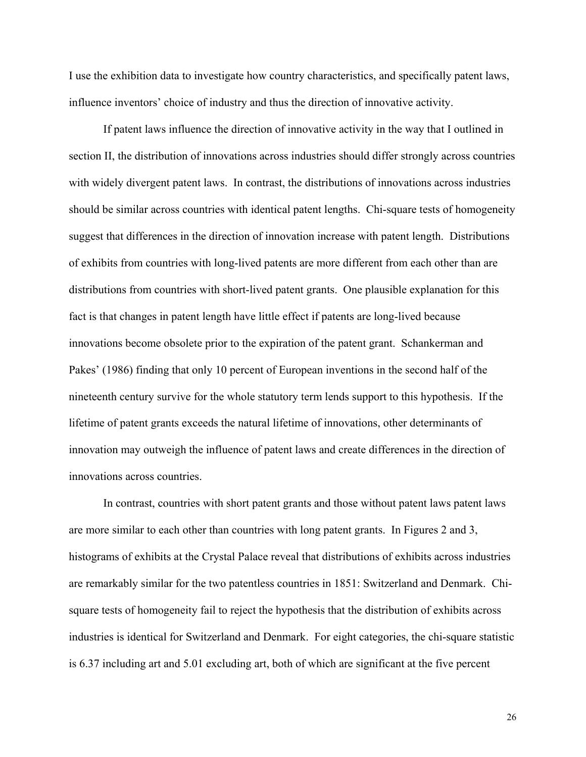I use the exhibition data to investigate how country characteristics, and specifically patent laws, influence inventors' choice of industry and thus the direction of innovative activity.

If patent laws influence the direction of innovative activity in the way that I outlined in section II, the distribution of innovations across industries should differ strongly across countries with widely divergent patent laws. In contrast, the distributions of innovations across industries should be similar across countries with identical patent lengths. Chi-square tests of homogeneity suggest that differences in the direction of innovation increase with patent length. Distributions of exhibits from countries with long-lived patents are more different from each other than are distributions from countries with short-lived patent grants. One plausible explanation for this fact is that changes in patent length have little effect if patents are long-lived because innovations become obsolete prior to the expiration of the patent grant. Schankerman and Pakes' (1986) finding that only 10 percent of European inventions in the second half of the nineteenth century survive for the whole statutory term lends support to this hypothesis. If the lifetime of patent grants exceeds the natural lifetime of innovations, other determinants of innovation may outweigh the influence of patent laws and create differences in the direction of innovations across countries.

In contrast, countries with short patent grants and those without patent laws patent laws are more similar to each other than countries with long patent grants. In Figures 2 and 3, histograms of exhibits at the Crystal Palace reveal that distributions of exhibits across industries are remarkably similar for the two patentless countries in 1851: Switzerland and Denmark. Chisquare tests of homogeneity fail to reject the hypothesis that the distribution of exhibits across industries is identical for Switzerland and Denmark. For eight categories, the chi-square statistic is 6.37 including art and 5.01 excluding art, both of which are significant at the five percent

26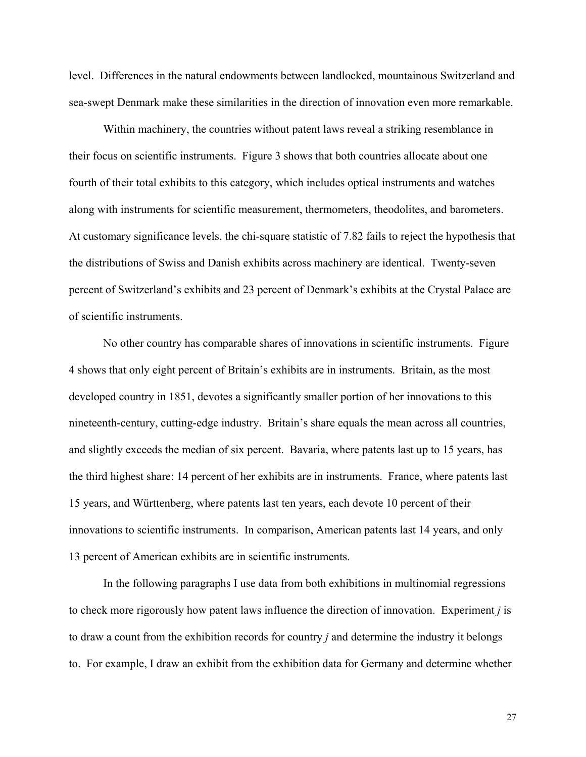level. Differences in the natural endowments between landlocked, mountainous Switzerland and sea-swept Denmark make these similarities in the direction of innovation even more remarkable.

Within machinery, the countries without patent laws reveal a striking resemblance in their focus on scientific instruments. Figure 3 shows that both countries allocate about one fourth of their total exhibits to this category, which includes optical instruments and watches along with instruments for scientific measurement, thermometers, theodolites, and barometers. At customary significance levels, the chi-square statistic of 7.82 fails to reject the hypothesis that the distributions of Swiss and Danish exhibits across machinery are identical. Twenty-seven percent of Switzerland's exhibits and 23 percent of Denmark's exhibits at the Crystal Palace are of scientific instruments.

No other country has comparable shares of innovations in scientific instruments. Figure 4 shows that only eight percent of Britain's exhibits are in instruments. Britain, as the most developed country in 1851, devotes a significantly smaller portion of her innovations to this nineteenth-century, cutting-edge industry. Britain's share equals the mean across all countries, and slightly exceeds the median of six percent. Bavaria, where patents last up to 15 years, has the third highest share: 14 percent of her exhibits are in instruments. France, where patents last 15 years, and Württenberg, where patents last ten years, each devote 10 percent of their innovations to scientific instruments. In comparison, American patents last 14 years, and only 13 percent of American exhibits are in scientific instruments.

In the following paragraphs I use data from both exhibitions in multinomial regressions to check more rigorously how patent laws influence the direction of innovation. Experiment *j* is to draw a count from the exhibition records for country *j* and determine the industry it belongs to. For example, I draw an exhibit from the exhibition data for Germany and determine whether

27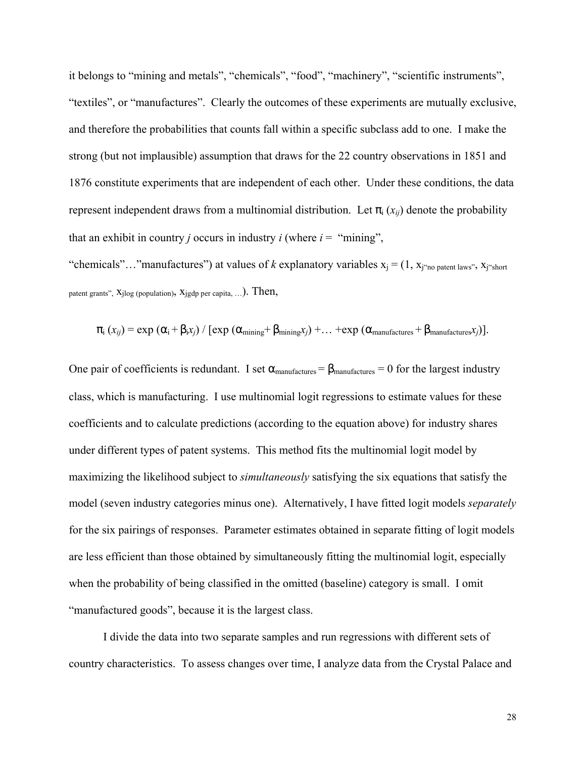it belongs to "mining and metals", "chemicals", "food", "machinery", "scientific instruments", "textiles", or "manufactures". Clearly the outcomes of these experiments are mutually exclusive, and therefore the probabilities that counts fall within a specific subclass add to one. I make the strong (but not implausible) assumption that draws for the 22 country observations in 1851 and 1876 constitute experiments that are independent of each other. Under these conditions, the data represent independent draws from a multinomial distribution. Let  $\pi_i(x_{ii})$  denote the probability that an exhibit in country *j* occurs in industry *i* (where  $i =$  "mining",

"chemicals"..."manufactures") at values of *k* explanatory variables  $x_i = (1, x_i)$  no patent laws",  $x_i$  short patent grants",  $X_{\text{ilog (population)}}$ ,  $X_{\text{igdp per capita}, \dots}$ ). Then,

$$
\pi_i(x_{ij}) = \exp(\alpha_i + \beta_i x_j) / [\exp(\alpha_{\text{mining}} + \beta_{\text{mining}} x_j) + ... + \exp(\alpha_{\text{manufactures}} + \beta_{\text{manufactures}} x_j)].
$$

One pair of coefficients is redundant. I set  $\alpha_{\text{manufactures}} = \beta_{\text{manufactures}} = 0$  for the largest industry class, which is manufacturing. I use multinomial logit regressions to estimate values for these coefficients and to calculate predictions (according to the equation above) for industry shares under different types of patent systems. This method fits the multinomial logit model by maximizing the likelihood subject to *simultaneously* satisfying the six equations that satisfy the model (seven industry categories minus one). Alternatively, I have fitted logit models *separately* for the six pairings of responses. Parameter estimates obtained in separate fitting of logit models are less efficient than those obtained by simultaneously fitting the multinomial logit, especially when the probability of being classified in the omitted (baseline) category is small. I omit "manufactured goods", because it is the largest class.

I divide the data into two separate samples and run regressions with different sets of country characteristics. To assess changes over time, I analyze data from the Crystal Palace and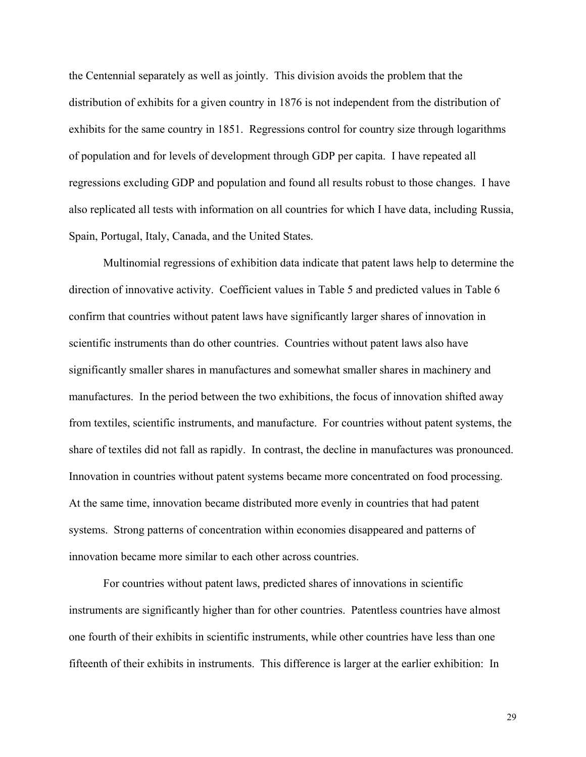the Centennial separately as well as jointly. This division avoids the problem that the distribution of exhibits for a given country in 1876 is not independent from the distribution of exhibits for the same country in 1851. Regressions control for country size through logarithms of population and for levels of development through GDP per capita. I have repeated all regressions excluding GDP and population and found all results robust to those changes. I have also replicated all tests with information on all countries for which I have data, including Russia, Spain, Portugal, Italy, Canada, and the United States.

Multinomial regressions of exhibition data indicate that patent laws help to determine the direction of innovative activity. Coefficient values in Table 5 and predicted values in Table 6 confirm that countries without patent laws have significantly larger shares of innovation in scientific instruments than do other countries. Countries without patent laws also have significantly smaller shares in manufactures and somewhat smaller shares in machinery and manufactures. In the period between the two exhibitions, the focus of innovation shifted away from textiles, scientific instruments, and manufacture. For countries without patent systems, the share of textiles did not fall as rapidly. In contrast, the decline in manufactures was pronounced. Innovation in countries without patent systems became more concentrated on food processing. At the same time, innovation became distributed more evenly in countries that had patent systems. Strong patterns of concentration within economies disappeared and patterns of innovation became more similar to each other across countries.

For countries without patent laws, predicted shares of innovations in scientific instruments are significantly higher than for other countries. Patentless countries have almost one fourth of their exhibits in scientific instruments, while other countries have less than one fifteenth of their exhibits in instruments. This difference is larger at the earlier exhibition: In

29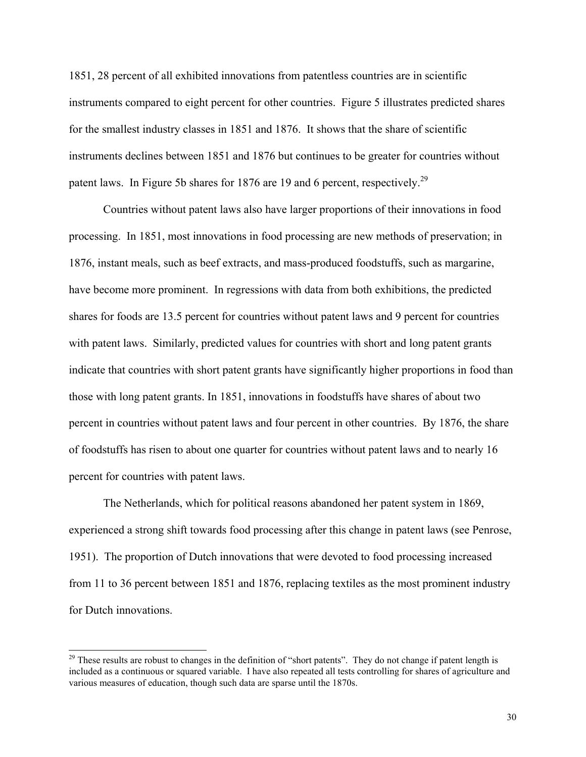1851, 28 percent of all exhibited innovations from patentless countries are in scientific instruments compared to eight percent for other countries. Figure 5 illustrates predicted shares for the smallest industry classes in 1851 and 1876. It shows that the share of scientific instruments declines between 1851 and 1876 but continues to be greater for countries without patent laws. In Figure 5b shares for 1876 are 19 and 6 percent, respectively.<sup>29</sup>

Countries without patent laws also have larger proportions of their innovations in food processing. In 1851, most innovations in food processing are new methods of preservation; in 1876, instant meals, such as beef extracts, and mass-produced foodstuffs, such as margarine, have become more prominent. In regressions with data from both exhibitions, the predicted shares for foods are 13.5 percent for countries without patent laws and 9 percent for countries with patent laws. Similarly, predicted values for countries with short and long patent grants indicate that countries with short patent grants have significantly higher proportions in food than those with long patent grants. In 1851, innovations in foodstuffs have shares of about two percent in countries without patent laws and four percent in other countries. By 1876, the share of foodstuffs has risen to about one quarter for countries without patent laws and to nearly 16 percent for countries with patent laws.

The Netherlands, which for political reasons abandoned her patent system in 1869, experienced a strong shift towards food processing after this change in patent laws (see Penrose, 1951). The proportion of Dutch innovations that were devoted to food processing increased from 11 to 36 percent between 1851 and 1876, replacing textiles as the most prominent industry for Dutch innovations.

<sup>&</sup>lt;sup>29</sup> These results are robust to changes in the definition of "short patents". They do not change if patent length is included as a continuous or squared variable. I have also repeated all tests controlling for shares of agriculture and various measures of education, though such data are sparse until the 1870s.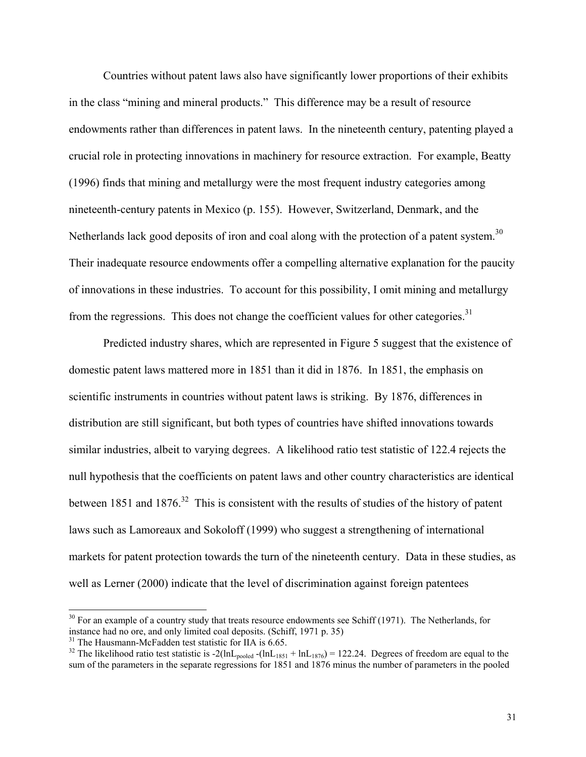Countries without patent laws also have significantly lower proportions of their exhibits in the class "mining and mineral products." This difference may be a result of resource endowments rather than differences in patent laws. In the nineteenth century, patenting played a crucial role in protecting innovations in machinery for resource extraction. For example, Beatty (1996) finds that mining and metallurgy were the most frequent industry categories among nineteenth-century patents in Mexico (p. 155). However, Switzerland, Denmark, and the Netherlands lack good deposits of iron and coal along with the protection of a patent system.<sup>30</sup> Their inadequate resource endowments offer a compelling alternative explanation for the paucity of innovations in these industries. To account for this possibility, I omit mining and metallurgy from the regressions. This does not change the coefficient values for other categories.<sup>31</sup>

Predicted industry shares, which are represented in Figure 5 suggest that the existence of domestic patent laws mattered more in 1851 than it did in 1876. In 1851, the emphasis on scientific instruments in countries without patent laws is striking. By 1876, differences in distribution are still significant, but both types of countries have shifted innovations towards similar industries, albeit to varying degrees. A likelihood ratio test statistic of 122.4 rejects the null hypothesis that the coefficients on patent laws and other country characteristics are identical between 1851 and 1876.<sup>32</sup> This is consistent with the results of studies of the history of patent laws such as Lamoreaux and Sokoloff (1999) who suggest a strengthening of international markets for patent protection towards the turn of the nineteenth century. Data in these studies, as well as Lerner (2000) indicate that the level of discrimination against foreign patentees

 $30$  For an example of a country study that treats resource endowments see Schiff (1971). The Netherlands, for instance had no ore, and only limited coal deposits. (Schiff, 1971 p. 35)

 $31$  The Hausmann-McFadden test statistic for IIA is 6.65.

<sup>&</sup>lt;sup>32</sup> The likelihood ratio test statistic is -2(lnL<sub>pooled</sub> -(lnL<sub>1851</sub> + lnL<sub>1876</sub>) = 122.24. Degrees of freedom are equal to the sum of the parameters in the separate regressions for 1851 and 1876 minus the number of parameters in the pooled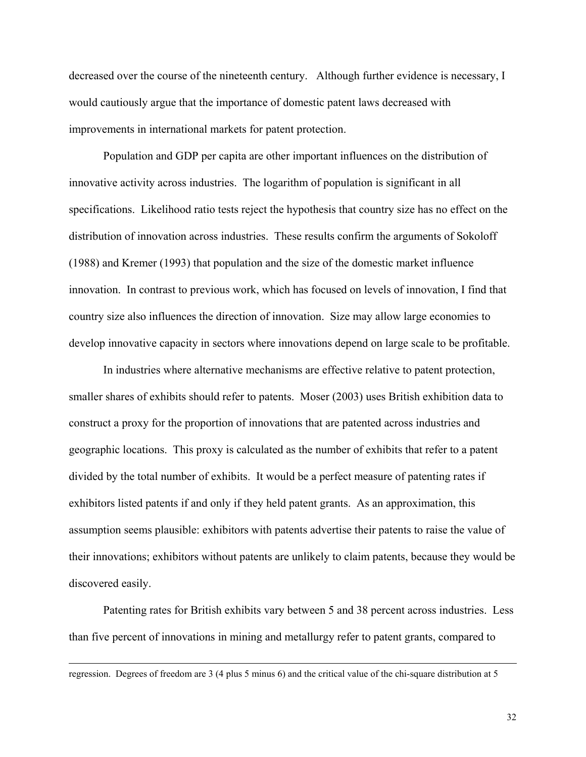decreased over the course of the nineteenth century. Although further evidence is necessary, I would cautiously argue that the importance of domestic patent laws decreased with improvements in international markets for patent protection.

Population and GDP per capita are other important influences on the distribution of innovative activity across industries. The logarithm of population is significant in all specifications. Likelihood ratio tests reject the hypothesis that country size has no effect on the distribution of innovation across industries. These results confirm the arguments of Sokoloff (1988) and Kremer (1993) that population and the size of the domestic market influence innovation. In contrast to previous work, which has focused on levels of innovation, I find that country size also influences the direction of innovation. Size may allow large economies to develop innovative capacity in sectors where innovations depend on large scale to be profitable.

In industries where alternative mechanisms are effective relative to patent protection, smaller shares of exhibits should refer to patents. Moser (2003) uses British exhibition data to construct a proxy for the proportion of innovations that are patented across industries and geographic locations. This proxy is calculated as the number of exhibits that refer to a patent divided by the total number of exhibits. It would be a perfect measure of patenting rates if exhibitors listed patents if and only if they held patent grants. As an approximation, this assumption seems plausible: exhibitors with patents advertise their patents to raise the value of their innovations; exhibitors without patents are unlikely to claim patents, because they would be discovered easily.

Patenting rates for British exhibits vary between 5 and 38 percent across industries. Less than five percent of innovations in mining and metallurgy refer to patent grants, compared to

regression. Degrees of freedom are 3 (4 plus 5 minus 6) and the critical value of the chi-square distribution at 5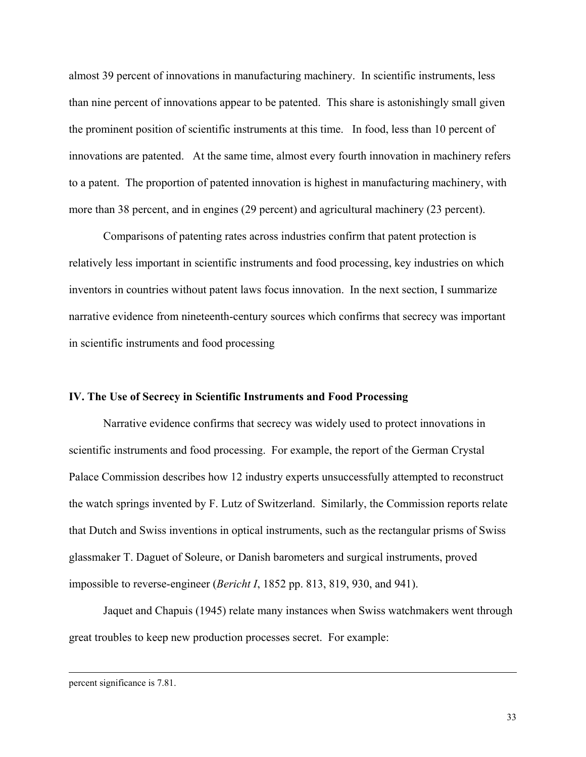almost 39 percent of innovations in manufacturing machinery. In scientific instruments, less than nine percent of innovations appear to be patented. This share is astonishingly small given the prominent position of scientific instruments at this time. In food, less than 10 percent of innovations are patented. At the same time, almost every fourth innovation in machinery refers to a patent. The proportion of patented innovation is highest in manufacturing machinery, with more than 38 percent, and in engines (29 percent) and agricultural machinery (23 percent).

Comparisons of patenting rates across industries confirm that patent protection is relatively less important in scientific instruments and food processing, key industries on which inventors in countries without patent laws focus innovation. In the next section, I summarize narrative evidence from nineteenth-century sources which confirms that secrecy was important in scientific instruments and food processing

### **IV. The Use of Secrecy in Scientific Instruments and Food Processing**

Narrative evidence confirms that secrecy was widely used to protect innovations in scientific instruments and food processing. For example, the report of the German Crystal Palace Commission describes how 12 industry experts unsuccessfully attempted to reconstruct the watch springs invented by F. Lutz of Switzerland. Similarly, the Commission reports relate that Dutch and Swiss inventions in optical instruments, such as the rectangular prisms of Swiss glassmaker T. Daguet of Soleure, or Danish barometers and surgical instruments, proved impossible to reverse-engineer (*Bericht I*, 1852 pp. 813, 819, 930, and 941).

Jaquet and Chapuis (1945) relate many instances when Swiss watchmakers went through great troubles to keep new production processes secret. For example:

percent significance is 7.81.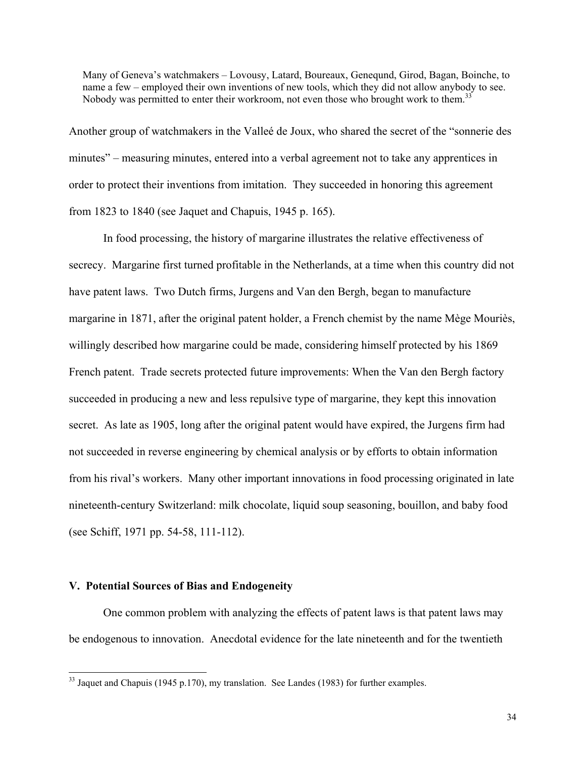Many of Geneva's watchmakers – Lovousy, Latard, Boureaux, Geneqund, Girod, Bagan, Boinche, to name a few – employed their own inventions of new tools, which they did not allow anybody to see. Nobody was permitted to enter their workroom, not even those who brought work to them.<sup>33</sup>

Another group of watchmakers in the Valleé de Joux, who shared the secret of the "sonnerie des minutes" – measuring minutes, entered into a verbal agreement not to take any apprentices in order to protect their inventions from imitation. They succeeded in honoring this agreement from 1823 to 1840 (see Jaquet and Chapuis, 1945 p. 165).

In food processing, the history of margarine illustrates the relative effectiveness of secrecy. Margarine first turned profitable in the Netherlands, at a time when this country did not have patent laws. Two Dutch firms, Jurgens and Van den Bergh, began to manufacture margarine in 1871, after the original patent holder, a French chemist by the name Mège Mouriès, willingly described how margarine could be made, considering himself protected by his 1869 French patent. Trade secrets protected future improvements: When the Van den Bergh factory succeeded in producing a new and less repulsive type of margarine, they kept this innovation secret. As late as 1905, long after the original patent would have expired, the Jurgens firm had not succeeded in reverse engineering by chemical analysis or by efforts to obtain information from his rival's workers. Many other important innovations in food processing originated in late nineteenth-century Switzerland: milk chocolate, liquid soup seasoning, bouillon, and baby food (see Schiff, 1971 pp. 54-58, 111-112).

#### **V. Potential Sources of Bias and Endogeneity**

-

One common problem with analyzing the effects of patent laws is that patent laws may be endogenous to innovation. Anecdotal evidence for the late nineteenth and for the twentieth

<sup>&</sup>lt;sup>33</sup> Jaquet and Chapuis (1945 p.170), my translation. See Landes (1983) for further examples.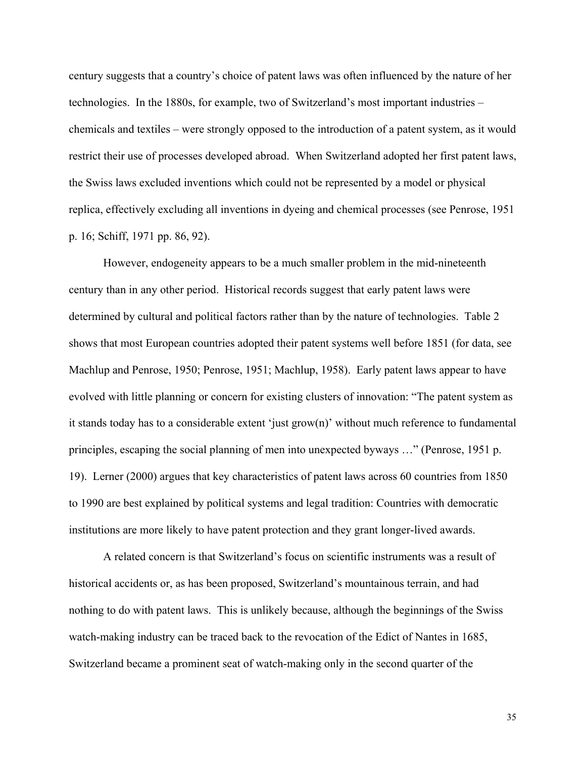century suggests that a country's choice of patent laws was often influenced by the nature of her technologies. In the 1880s, for example, two of Switzerland's most important industries – chemicals and textiles – were strongly opposed to the introduction of a patent system, as it would restrict their use of processes developed abroad. When Switzerland adopted her first patent laws, the Swiss laws excluded inventions which could not be represented by a model or physical replica, effectively excluding all inventions in dyeing and chemical processes (see Penrose, 1951 p. 16; Schiff, 1971 pp. 86, 92).

However, endogeneity appears to be a much smaller problem in the mid-nineteenth century than in any other period. Historical records suggest that early patent laws were determined by cultural and political factors rather than by the nature of technologies. Table 2 shows that most European countries adopted their patent systems well before 1851 (for data, see Machlup and Penrose, 1950; Penrose, 1951; Machlup, 1958). Early patent laws appear to have evolved with little planning or concern for existing clusters of innovation: "The patent system as it stands today has to a considerable extent 'just grow(n)' without much reference to fundamental principles, escaping the social planning of men into unexpected byways …" (Penrose, 1951 p. 19). Lerner (2000) argues that key characteristics of patent laws across 60 countries from 1850 to 1990 are best explained by political systems and legal tradition: Countries with democratic institutions are more likely to have patent protection and they grant longer-lived awards.

A related concern is that Switzerland's focus on scientific instruments was a result of historical accidents or, as has been proposed, Switzerland's mountainous terrain, and had nothing to do with patent laws. This is unlikely because, although the beginnings of the Swiss watch-making industry can be traced back to the revocation of the Edict of Nantes in 1685, Switzerland became a prominent seat of watch-making only in the second quarter of the

35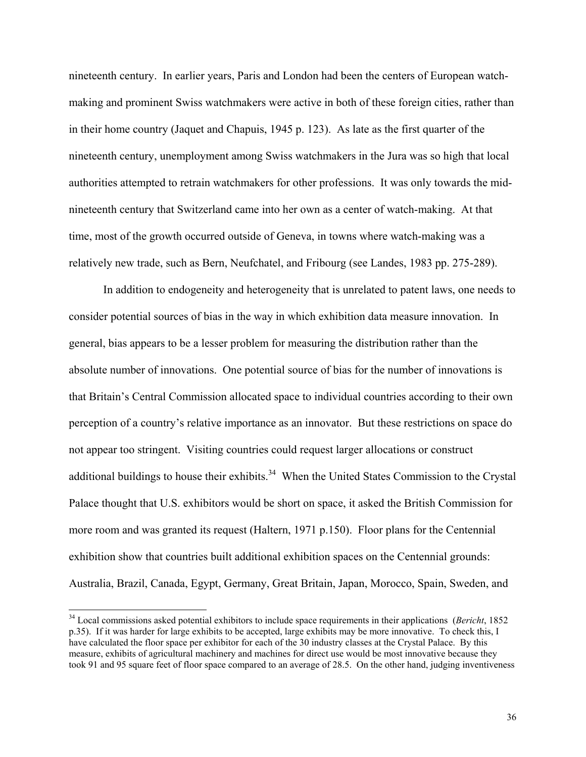nineteenth century. In earlier years, Paris and London had been the centers of European watchmaking and prominent Swiss watchmakers were active in both of these foreign cities, rather than in their home country (Jaquet and Chapuis, 1945 p. 123). As late as the first quarter of the nineteenth century, unemployment among Swiss watchmakers in the Jura was so high that local authorities attempted to retrain watchmakers for other professions. It was only towards the midnineteenth century that Switzerland came into her own as a center of watch-making. At that time, most of the growth occurred outside of Geneva, in towns where watch-making was a relatively new trade, such as Bern, Neufchatel, and Fribourg (see Landes, 1983 pp. 275-289).

In addition to endogeneity and heterogeneity that is unrelated to patent laws, one needs to consider potential sources of bias in the way in which exhibition data measure innovation. In general, bias appears to be a lesser problem for measuring the distribution rather than the absolute number of innovations. One potential source of bias for the number of innovations is that Britain's Central Commission allocated space to individual countries according to their own perception of a country's relative importance as an innovator. But these restrictions on space do not appear too stringent. Visiting countries could request larger allocations or construct additional buildings to house their exhibits.<sup>34</sup> When the United States Commission to the Crystal Palace thought that U.S. exhibitors would be short on space, it asked the British Commission for more room and was granted its request (Haltern, 1971 p.150). Floor plans for the Centennial exhibition show that countries built additional exhibition spaces on the Centennial grounds: Australia, Brazil, Canada, Egypt, Germany, Great Britain, Japan, Morocco, Spain, Sweden, and

<sup>34</sup> Local commissions asked potential exhibitors to include space requirements in their applications (*Bericht*, 1852 p.35). If it was harder for large exhibits to be accepted, large exhibits may be more innovative. To check this, I have calculated the floor space per exhibitor for each of the 30 industry classes at the Crystal Palace. By this measure, exhibits of agricultural machinery and machines for direct use would be most innovative because they took 91 and 95 square feet of floor space compared to an average of 28.5. On the other hand, judging inventiveness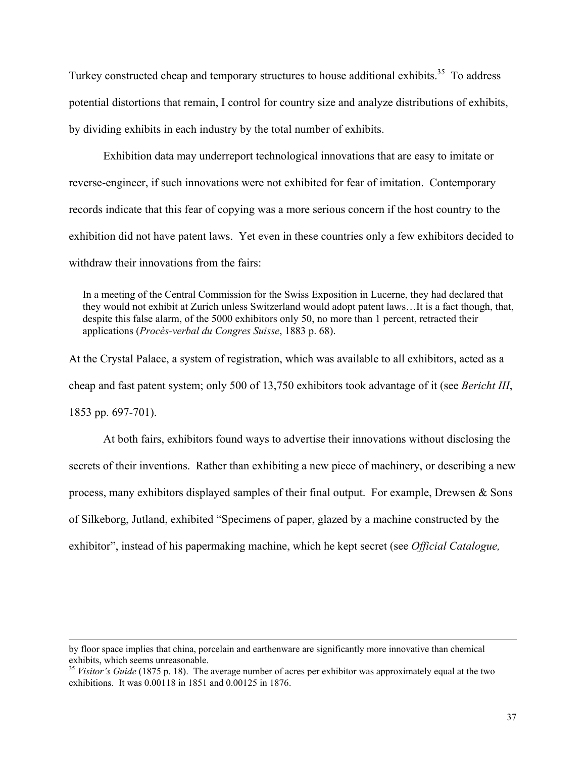Turkey constructed cheap and temporary structures to house additional exhibits.<sup>35</sup> To address potential distortions that remain, I control for country size and analyze distributions of exhibits, by dividing exhibits in each industry by the total number of exhibits.

Exhibition data may underreport technological innovations that are easy to imitate or reverse-engineer, if such innovations were not exhibited for fear of imitation. Contemporary records indicate that this fear of copying was a more serious concern if the host country to the exhibition did not have patent laws. Yet even in these countries only a few exhibitors decided to withdraw their innovations from the fairs:

In a meeting of the Central Commission for the Swiss Exposition in Lucerne, they had declared that they would not exhibit at Zurich unless Switzerland would adopt patent laws…It is a fact though, that, despite this false alarm, of the 5000 exhibitors only 50, no more than 1 percent, retracted their applications (*Procès-verbal du Congres Suisse*, 1883 p. 68).

At the Crystal Palace, a system of registration, which was available to all exhibitors, acted as a cheap and fast patent system; only 500 of 13,750 exhibitors took advantage of it (see *Bericht III*, 1853 pp. 697-701).

 At both fairs, exhibitors found ways to advertise their innovations without disclosing the secrets of their inventions. Rather than exhibiting a new piece of machinery, or describing a new process, many exhibitors displayed samples of their final output. For example, Drewsen & Sons of Silkeborg, Jutland, exhibited "Specimens of paper, glazed by a machine constructed by the exhibitor", instead of his papermaking machine, which he kept secret (see *Official Catalogue,* 

by floor space implies that china, porcelain and earthenware are significantly more innovative than chemical exhibits, which seems unreasonable.

<sup>&</sup>lt;sup>35</sup> *Visitor's Guide* (1875 p. 18). The average number of acres per exhibitor was approximately equal at the two exhibitions. It was 0.00118 in 1851 and 0.00125 in 1876.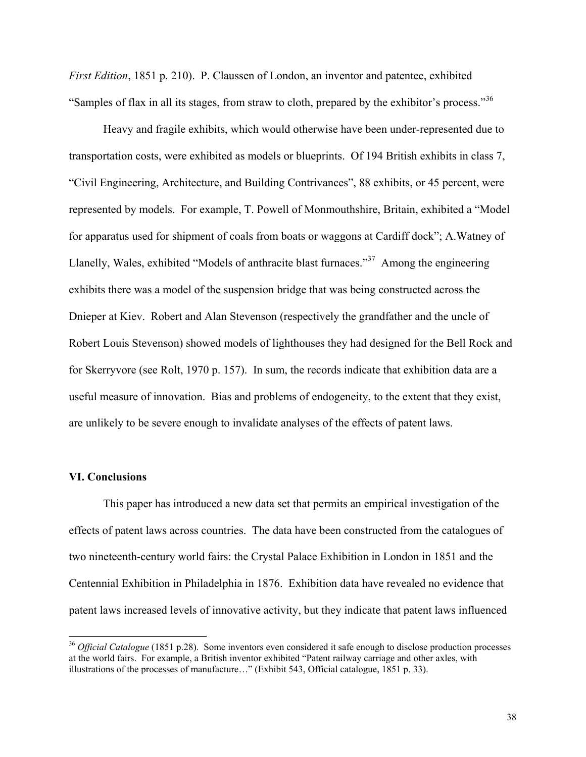*First Edition*, 1851 p. 210). P. Claussen of London, an inventor and patentee, exhibited "Samples of flax in all its stages, from straw to cloth, prepared by the exhibitor's process."<sup>36</sup>

Heavy and fragile exhibits, which would otherwise have been under-represented due to transportation costs, were exhibited as models or blueprints. Of 194 British exhibits in class 7, "Civil Engineering, Architecture, and Building Contrivances", 88 exhibits, or 45 percent, were represented by models. For example, T. Powell of Monmouthshire, Britain, exhibited a "Model for apparatus used for shipment of coals from boats or waggons at Cardiff dock"; A.Watney of Llanelly, Wales, exhibited "Models of anthracite blast furnaces."<sup>37</sup> Among the engineering exhibits there was a model of the suspension bridge that was being constructed across the Dnieper at Kiev. Robert and Alan Stevenson (respectively the grandfather and the uncle of Robert Louis Stevenson) showed models of lighthouses they had designed for the Bell Rock and for Skerryvore (see Rolt, 1970 p. 157). In sum, the records indicate that exhibition data are a useful measure of innovation. Bias and problems of endogeneity, to the extent that they exist, are unlikely to be severe enough to invalidate analyses of the effects of patent laws.

#### **VI. Conclusions**

-

This paper has introduced a new data set that permits an empirical investigation of the effects of patent laws across countries. The data have been constructed from the catalogues of two nineteenth-century world fairs: the Crystal Palace Exhibition in London in 1851 and the Centennial Exhibition in Philadelphia in 1876. Exhibition data have revealed no evidence that patent laws increased levels of innovative activity, but they indicate that patent laws influenced

<sup>&</sup>lt;sup>36</sup> *Official Catalogue* (1851 p.28). Some inventors even considered it safe enough to disclose production processes at the world fairs. For example, a British inventor exhibited "Patent railway carriage and other axles, with illustrations of the processes of manufacture…" (Exhibit 543, Official catalogue, 1851 p. 33).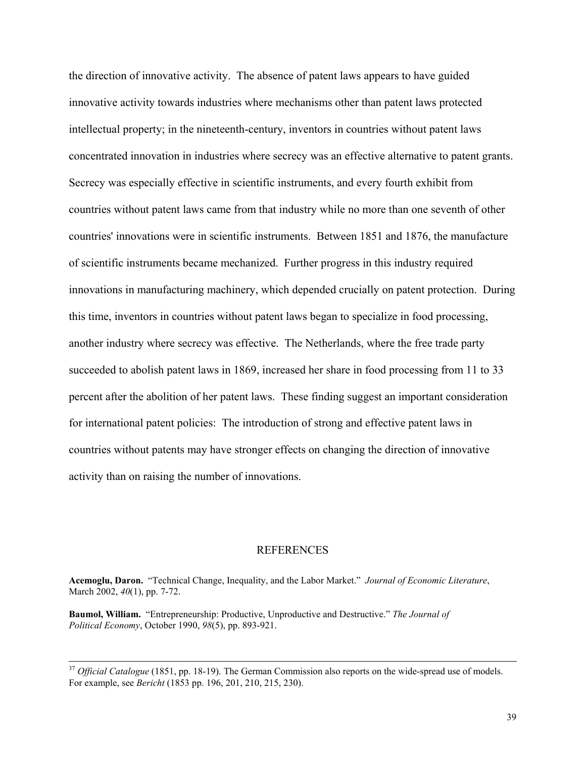the direction of innovative activity. The absence of patent laws appears to have guided innovative activity towards industries where mechanisms other than patent laws protected intellectual property; in the nineteenth-century, inventors in countries without patent laws concentrated innovation in industries where secrecy was an effective alternative to patent grants. Secrecy was especially effective in scientific instruments, and every fourth exhibit from countries without patent laws came from that industry while no more than one seventh of other countries' innovations were in scientific instruments. Between 1851 and 1876, the manufacture of scientific instruments became mechanized. Further progress in this industry required innovations in manufacturing machinery, which depended crucially on patent protection. During this time, inventors in countries without patent laws began to specialize in food processing, another industry where secrecy was effective. The Netherlands, where the free trade party succeeded to abolish patent laws in 1869, increased her share in food processing from 11 to 33 percent after the abolition of her patent laws. These finding suggest an important consideration for international patent policies: The introduction of strong and effective patent laws in countries without patents may have stronger effects on changing the direction of innovative activity than on raising the number of innovations.

#### REFERENCES

**Acemoglu, Daron.** "Technical Change, Inequality, and the Labor Market." *Journal of Economic Literature*, March 2002, *40*(1), pp. 7-72.

**Baumol, William.** "Entrepreneurship: Productive, Unproductive and Destructive." *The Journal of Political Economy*, October 1990, *98*(5), pp. 893-921.

<sup>&</sup>lt;sup>37</sup> *Official Catalogue* (1851, pp. 18-19). The German Commission also reports on the wide-spread use of models. For example, see *Bericht* (1853 pp. 196, 201, 210, 215, 230).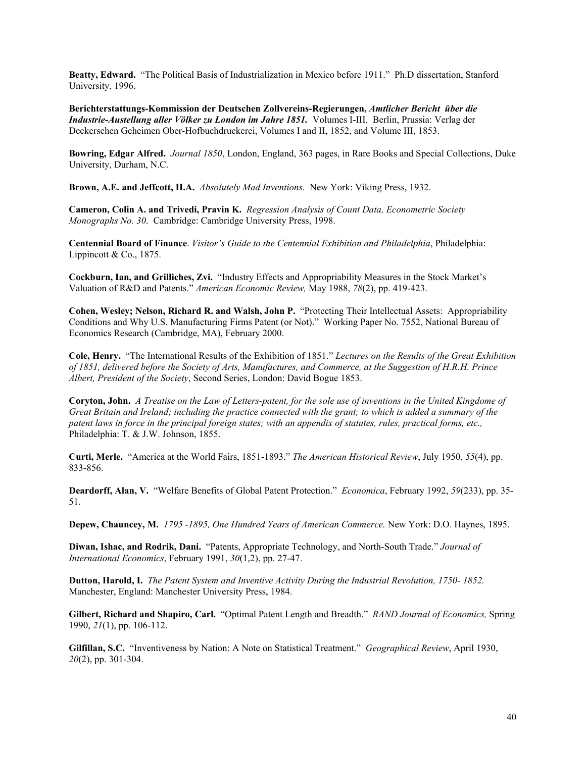**Beatty, Edward.** "The Political Basis of Industrialization in Mexico before 1911." Ph.D dissertation, Stanford University, 1996.

**Berichterstattungs-Kommission der Deutschen Zollvereins-Regierungen,** *Amtlicher Bericht über die Industrie-Austellung aller Völker zu London im Jahre 1851.* Volumes I-III. Berlin, Prussia: Verlag der Deckerschen Geheimen Ober-Hofbuchdruckerei, Volumes I and II, 1852, and Volume III, 1853.

**Bowring, Edgar Alfred.** *Journal 1850*, London, England, 363 pages, in Rare Books and Special Collections, Duke University, Durham, N.C.

**Brown, A.E. and Jeffcott, H.A.** *Absolutely Mad Inventions.* New York: Viking Press, 1932.

**Cameron, Colin A. and Trivedi, Pravin K.** *Regression Analysis of Count Data, Econometric Society Monographs No. 30*. Cambridge: Cambridge University Press, 1998.

**Centennial Board of Finance**. *Visitor's Guide to the Centennial Exhibition and Philadelphia*, Philadelphia: Lippincott & Co., 1875.

**Cockburn, Ian, and Grilliches, Zvi.** "Industry Effects and Appropriability Measures in the Stock Market's Valuation of R&D and Patents." *American Economic Review,* May 1988, *78*(2), pp. 419-423.

**Cohen, Wesley; Nelson, Richard R. and Walsh, John P.** "Protecting Their Intellectual Assets: Appropriability Conditions and Why U.S. Manufacturing Firms Patent (or Not)." Working Paper No. 7552, National Bureau of Economics Research (Cambridge, MA), February 2000.

**Cole, Henry.** "The International Results of the Exhibition of 1851." *Lectures on the Results of the Great Exhibition of 1851, delivered before the Society of Arts, Manufactures, and Commerce, at the Suggestion of H.R.H. Prince Albert, President of the Society*, Second Series, London: David Bogue 1853.

**Coryton, John.** *A Treatise on the Law of Letters-patent, for the sole use of inventions in the United Kingdome of Great Britain and Ireland; including the practice connected with the grant; to which is added a summary of the patent laws in force in the principal foreign states; with an appendix of statutes, rules, practical forms, etc.,* Philadelphia: T. & J.W. Johnson, 1855.

**Curti, Merle.** "America at the World Fairs, 1851-1893." *The American Historical Review*, July 1950, *55*(4), pp. 833-856.

**Deardorff, Alan, V.** "Welfare Benefits of Global Patent Protection." *Economica*, February 1992, *59*(233), pp. 35- 51.

**Depew, Chauncey, M.** *1795 -1895, One Hundred Years of American Commerce.* New York: D.O. Haynes, 1895.

**Diwan, Ishac, and Rodrik, Dani.** "Patents, Appropriate Technology, and North-South Trade." *Journal of International Economics*, February 1991, *30*(1,2), pp. 27-47.

**Dutton, Harold, I.** *The Patent System and Inventive Activity During the Industrial Revolution, 1750- 1852.*  Manchester, England: Manchester University Press, 1984.

**Gilbert, Richard and Shapiro, Carl.** "Optimal Patent Length and Breadth." *RAND Journal of Economics,* Spring 1990, *21*(1), pp. 106-112.

**Gilfillan, S.C.** "Inventiveness by Nation: A Note on Statistical Treatment." *Geographical Review*, April 1930, *20*(2), pp. 301-304.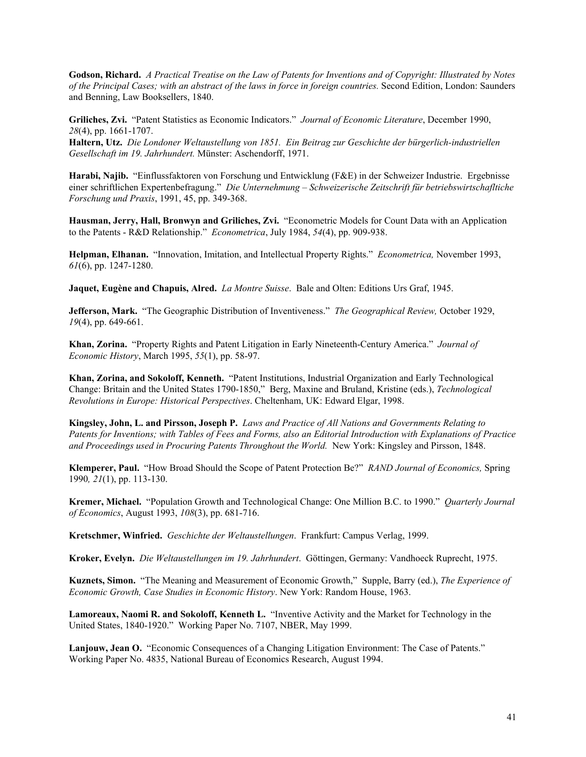**Godson, Richard.** *A Practical Treatise on the Law of Patents for Inventions and of Copyright: Illustrated by Notes of the Principal Cases; with an abstract of the laws in force in foreign countries.* Second Edition, London: Saunders and Benning, Law Booksellers, 1840.

**Griliches, Zvi.** "Patent Statistics as Economic Indicators." *Journal of Economic Literature*, December 1990, *28*(4), pp. 1661-1707.

**Haltern, Utz.** *Die Londoner Weltaustellung von 1851. Ein Beitrag zur Geschichte der bürgerlich-industriellen Gesellschaft im 19. Jahrhundert.* Münster: Aschendorff, 1971.

**Harabi, Najib.** "Einflussfaktoren von Forschung und Entwicklung (F&E) in der Schweizer Industrie. Ergebnisse einer schriftlichen Expertenbefragung." *Die Unternehmung – Schweizerische Zeitschrift für betriebswirtschafltiche Forschung und Praxis*, 1991, 45, pp. 349-368.

**Hausman, Jerry, Hall, Bronwyn and Griliches, Zvi.** "Econometric Models for Count Data with an Application to the Patents - R&D Relationship." *Econometrica*, July 1984, *54*(4), pp. 909-938.

**Helpman, Elhanan.** "Innovation, Imitation, and Intellectual Property Rights." *Econometrica,* November 1993, *61*(6), pp. 1247-1280.

**Jaquet, Eugène and Chapuis, Alred.** *La Montre Suisse*. Bale and Olten: Editions Urs Graf, 1945.

**Jefferson, Mark.** "The Geographic Distribution of Inventiveness." *The Geographical Review,* October 1929, *19*(4), pp. 649-661.

**Khan, Zorina.** "Property Rights and Patent Litigation in Early Nineteenth-Century America." *Journal of Economic History*, March 1995, *55*(1), pp. 58-97.

**Khan, Zorina, and Sokoloff, Kenneth.** "Patent Institutions, Industrial Organization and Early Technological Change: Britain and the United States 1790-1850," Berg, Maxine and Bruland, Kristine (eds.), *Technological Revolutions in Europe: Historical Perspectives*. Cheltenham, UK: Edward Elgar, 1998.

**Kingsley, John, L. and Pirsson, Joseph P.** *Laws and Practice of All Nations and Governments Relating to Patents for Inventions; with Tables of Fees and Forms, also an Editorial Introduction with Explanations of Practice and Proceedings used in Procuring Patents Throughout the World.* New York: Kingsley and Pirsson, 1848.

**Klemperer, Paul.** "How Broad Should the Scope of Patent Protection Be?" *RAND Journal of Economics,* Spring 1990*, 21*(1), pp. 113-130.

**Kremer, Michael.** "Population Growth and Technological Change: One Million B.C. to 1990." *Quarterly Journal of Economics*, August 1993, *108*(3), pp. 681-716.

**Kretschmer, Winfried.** *Geschichte der Weltaustellungen*. Frankfurt: Campus Verlag, 1999.

**Kroker, Evelyn.** *Die Weltaustellungen im 19. Jahrhundert*. Göttingen, Germany: Vandhoeck Ruprecht, 1975.

**Kuznets, Simon.** "The Meaning and Measurement of Economic Growth," Supple, Barry (ed.), *The Experience of Economic Growth, Case Studies in Economic History*. New York: Random House, 1963.

**Lamoreaux, Naomi R. and Sokoloff, Kenneth L.** "Inventive Activity and the Market for Technology in the United States, 1840-1920." Working Paper No. 7107, NBER, May 1999.

**Lanjouw, Jean O.** "Economic Consequences of a Changing Litigation Environment: The Case of Patents." Working Paper No. 4835, National Bureau of Economics Research, August 1994.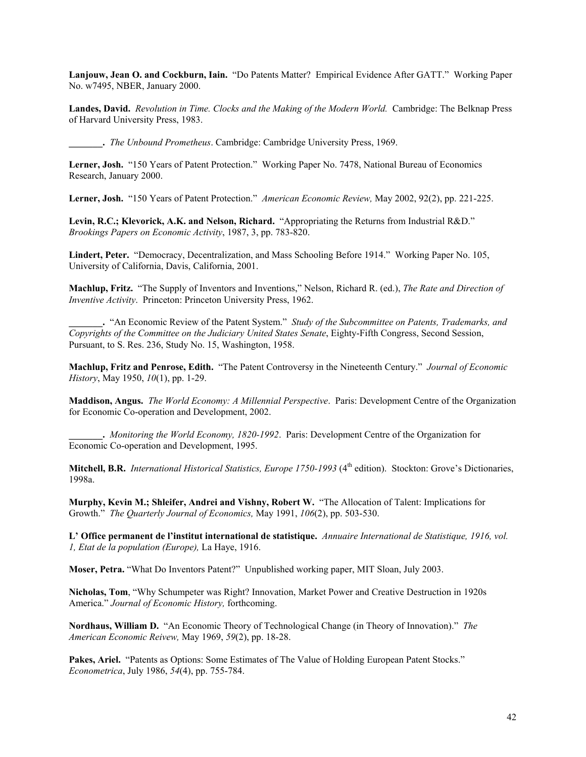**Lanjouw, Jean O. and Cockburn, Iain.** "Do Patents Matter? Empirical Evidence After GATT." Working Paper No. w7495, NBER, January 2000.

**Landes, David.** *Revolution in Time. Clocks and the Making of the Modern World.* Cambridge: The Belknap Press of Harvard University Press, 1983.

**\_\_\_\_\_\_\_.** *The Unbound Prometheus*. Cambridge: Cambridge University Press, 1969.

**Lerner, Josh.** "150 Years of Patent Protection." Working Paper No. 7478, National Bureau of Economics Research, January 2000.

**Lerner, Josh.** "150 Years of Patent Protection." *American Economic Review,* May 2002, 92(2), pp. 221-225.

**Levin, R.C.; Klevorick, A.K. and Nelson, Richard.** "Appropriating the Returns from Industrial R&D." *Brookings Papers on Economic Activity*, 1987, 3, pp. 783-820.

**Lindert, Peter.** "Democracy, Decentralization, and Mass Schooling Before 1914." Working Paper No. 105, University of California, Davis, California, 2001.

**Machlup, Fritz.** "The Supply of Inventors and Inventions," Nelson, Richard R. (ed.), *The Rate and Direction of Inventive Activity*. Princeton: Princeton University Press, 1962.

**\_\_\_\_\_\_\_.** "An Economic Review of the Patent System." *Study of the Subcommittee on Patents, Trademarks, and Copyrights of the Committee on the Judiciary United States Senate*, Eighty-Fifth Congress, Second Session, Pursuant, to S. Res. 236, Study No. 15, Washington, 1958.

**Machlup, Fritz and Penrose, Edith.** "The Patent Controversy in the Nineteenth Century." *Journal of Economic History*, May 1950, *10*(1), pp. 1-29.

**Maddison, Angus.** *The World Economy: A Millennial Perspective*. Paris: Development Centre of the Organization for Economic Co-operation and Development, 2002.

**\_\_\_\_\_\_\_.** *Monitoring the World Economy, 1820-1992*. Paris: Development Centre of the Organization for Economic Co-operation and Development, 1995.

Mitchell, B.R. *International Historical Statistics, Europe 1750-1993* (4<sup>th</sup> edition). Stockton: Grove's Dictionaries, 1998a.

**Murphy, Kevin M.; Shleifer, Andrei and Vishny, Robert W.** "The Allocation of Talent: Implications for Growth." *The Quarterly Journal of Economics,* May 1991, *106*(2), pp. 503-530.

**L' Office permanent de l'institut international de statistique.** *Annuaire International de Statistique, 1916, vol. 1, Etat de la population (Europe),* La Haye, 1916.

**Moser, Petra.** "What Do Inventors Patent?" Unpublished working paper, MIT Sloan, July 2003.

**Nicholas, Tom**, "Why Schumpeter was Right? Innovation, Market Power and Creative Destruction in 1920s America." *Journal of Economic History,* forthcoming.

**Nordhaus, William D.** "An Economic Theory of Technological Change (in Theory of Innovation)." *The American Economic Reivew,* May 1969, *59*(2), pp. 18-28.

**Pakes, Ariel.** "Patents as Options: Some Estimates of The Value of Holding European Patent Stocks." *Econometrica*, July 1986, *54*(4), pp. 755-784.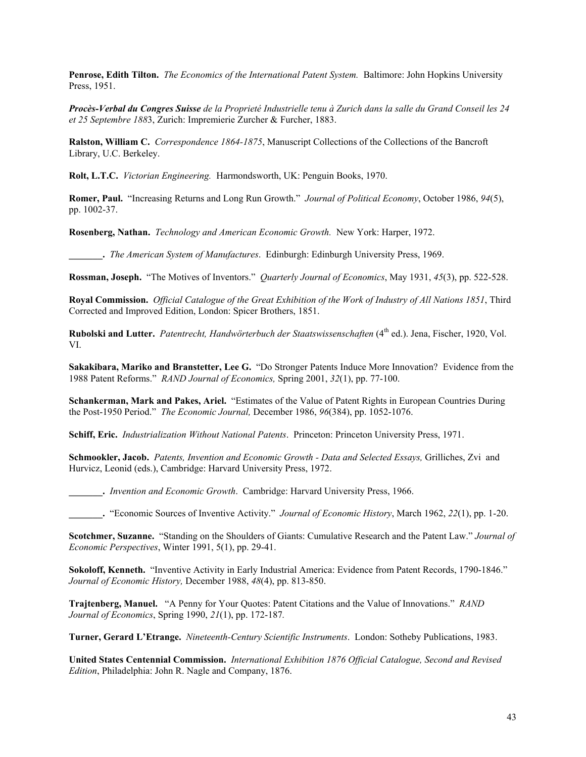**Penrose, Edith Tilton.** *The Economics of the International Patent System.* Baltimore: John Hopkins University Press, 1951.

*Procès-Verbal du Congres Suisse de la Proprieté Industrielle tenu à Zurich dans la salle du Grand Conseil les 24 et 25 Septembre 188*3, Zurich: Impremierie Zurcher & Furcher, 1883.

**Ralston, William C.** *Correspondence 1864-1875*, Manuscript Collections of the Collections of the Bancroft Library, U.C. Berkeley.

**Rolt, L.T.C.** *Victorian Engineering.* Harmondsworth, UK: Penguin Books, 1970.

**Romer, Paul.** "Increasing Returns and Long Run Growth." *Journal of Political Economy*, October 1986, *94*(5), pp. 1002-37.

**Rosenberg, Nathan.** *Technology and American Economic Growth.* New York: Harper, 1972.

**\_\_\_\_\_\_\_.** *The American System of Manufactures*. Edinburgh: Edinburgh University Press, 1969.

**Rossman, Joseph.** "The Motives of Inventors." *Quarterly Journal of Economics*, May 1931, *45*(3), pp. 522-528.

**Royal Commission.** *Official Catalogue of the Great Exhibition of the Work of Industry of All Nations 1851*, Third Corrected and Improved Edition, London: Spicer Brothers, 1851.

**Rubolski and Lutter.** *Patentrecht, Handwörterbuch der Staatswissenschaften* (4th ed.). Jena, Fischer, 1920, Vol. VI.

**Sakakibara, Mariko and Branstetter, Lee G.** "Do Stronger Patents Induce More Innovation? Evidence from the 1988 Patent Reforms." *RAND Journal of Economics,* Spring 2001, *32*(1), pp. 77-100.

**Schankerman, Mark and Pakes, Ariel.** "Estimates of the Value of Patent Rights in European Countries During the Post-1950 Period." *The Economic Journal,* December 1986, *96*(384), pp. 1052-1076.

**Schiff, Eric.** *Industrialization Without National Patents*. Princeton: Princeton University Press, 1971.

**Schmookler, Jacob.** *Patents, Invention and Economic Growth - Data and Selected Essays,* Grilliches, Zvi and Hurvicz, Leonid (eds.), Cambridge: Harvard University Press, 1972.

**\_\_\_\_\_\_\_.** *Invention and Economic Growth*. Cambridge: Harvard University Press, 1966.

**\_\_\_\_\_\_\_.** "Economic Sources of Inventive Activity." *Journal of Economic History*, March 1962, *22*(1), pp. 1-20.

**Scotchmer, Suzanne.** "Standing on the Shoulders of Giants: Cumulative Research and the Patent Law." *Journal of Economic Perspectives*, Winter 1991, 5(1), pp. 29-41.

**Sokoloff, Kenneth.** "Inventive Activity in Early Industrial America: Evidence from Patent Records, 1790-1846." *Journal of Economic History,* December 1988, *48*(4), pp. 813-850.

**Trajtenberg, Manuel.** "A Penny for Your Quotes: Patent Citations and the Value of Innovations." *RAND Journal of Economics*, Spring 1990, *21*(1), pp. 172-187*.*

**Turner, Gerard L'Etrange.** *Nineteenth-Century Scientific Instruments*. London: Sotheby Publications, 1983.

**United States Centennial Commission.** *International Exhibition 1876 Official Catalogue, Second and Revised Edition*, Philadelphia: John R. Nagle and Company, 1876.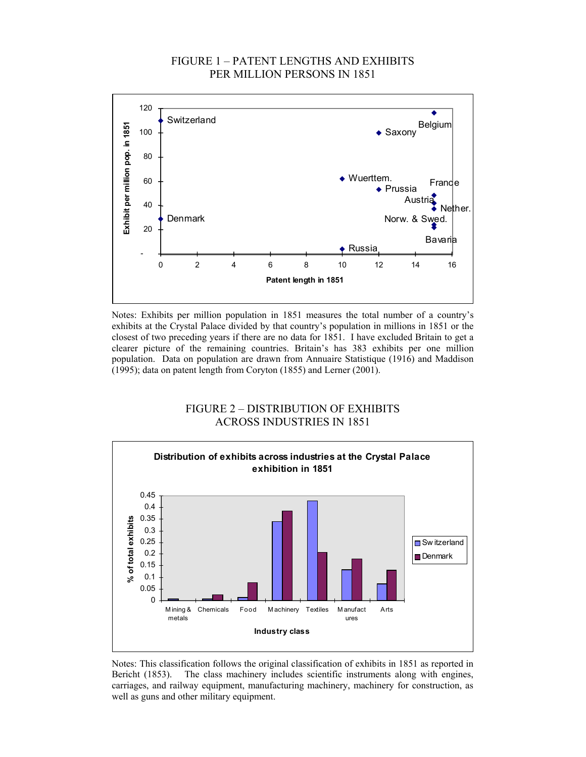### FIGURE 1 – PATENT LENGTHS AND EXHIBITS PER MILLION PERSONS IN 1851



Notes: Exhibits per million population in 1851 measures the total number of a country's exhibits at the Crystal Palace divided by that country's population in millions in 1851 or the closest of two preceding years if there are no data for 1851. I have excluded Britain to get a clearer picture of the remaining countries. Britain's has 383 exhibits per one million population. Data on population are drawn from Annuaire Statistique (1916) and Maddison (1995); data on patent length from Coryton (1855) and Lerner (2001).

## FIGURE 2 – DISTRIBUTION OF EXHIBITS ACROSS INDUSTRIES IN 1851



Notes: This classification follows the original classification of exhibits in 1851 as reported in Bericht (1853). The class machinery includes scientific instruments along with engines, carriages, and railway equipment, manufacturing machinery, machinery for construction, as well as guns and other military equipment.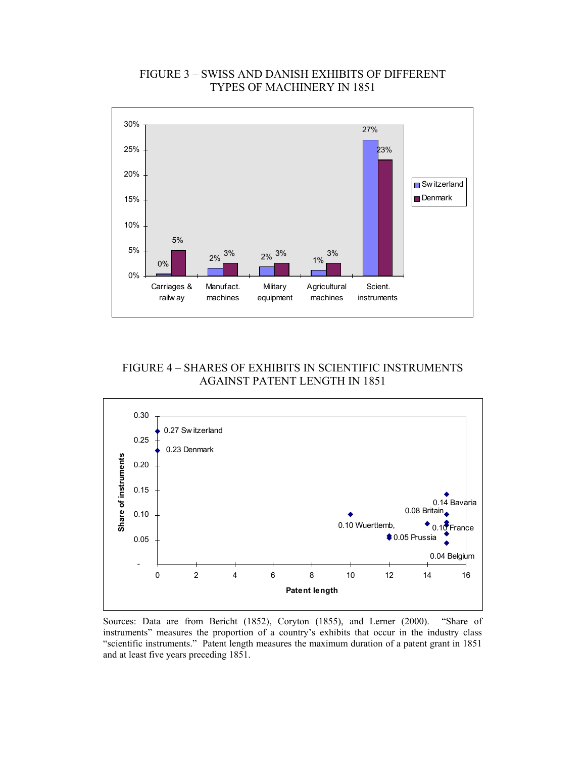## FIGURE 3 – SWISS AND DANISH EXHIBITS OF DIFFERENT TYPES OF MACHINERY IN 1851



## FIGURE 4 – SHARES OF EXHIBITS IN SCIENTIFIC INSTRUMENTS AGAINST PATENT LENGTH IN 1851



Sources: Data are from Bericht (1852), Coryton (1855), and Lerner (2000). "Share of instruments" measures the proportion of a country's exhibits that occur in the industry class "scientific instruments." Patent length measures the maximum duration of a patent grant in 1851 and at least five years preceding 1851.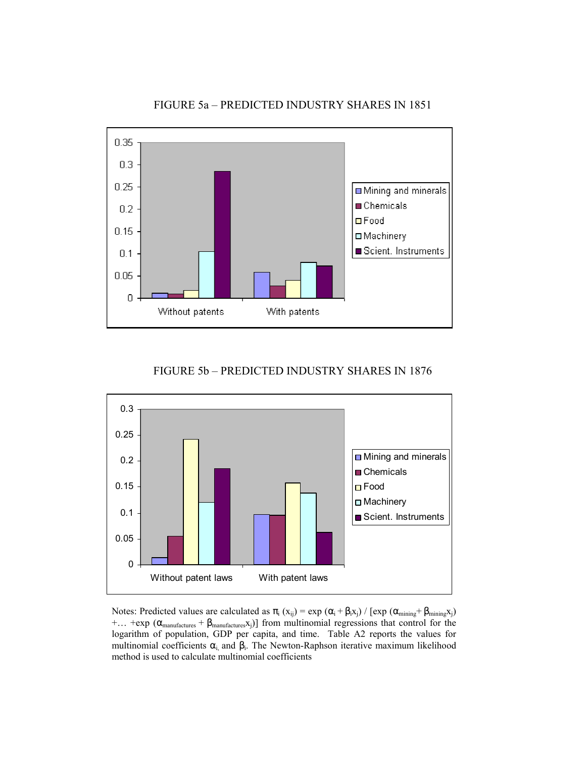

FIGURE 5a – PREDICTED INDUSTRY SHARES IN 1851

FIGURE 5b – PREDICTED INDUSTRY SHARES IN 1876



Notes: Predicted values are calculated as  $\pi_i(x_{ij}) = \exp(\alpha_i + \beta_i x_i) / [\exp(\alpha_{\text{mining}} + \beta_{\text{mining}} x_i)]$ +... +exp  $(\alpha_{\text{manufactures}} + \beta_{\text{manufactures}}x_j)$ ] from multinomial regressions that control for the logarithm of population, GDP per capita, and time. Table A2 reports the values for multinomial coefficients  $\alpha_i$  and  $\beta_i$ . The Newton-Raphson iterative maximum likelihood method is used to calculate multinomial coefficients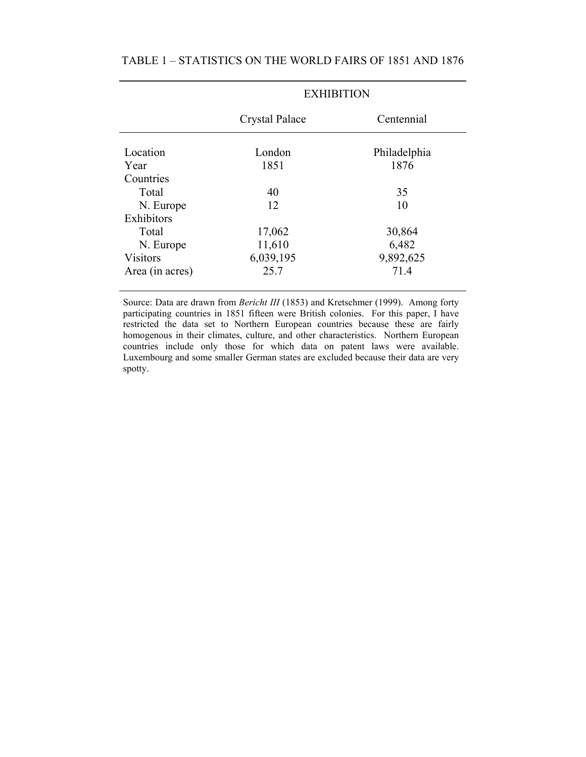|                 | <b>EXHIBITION</b> |              |  |  |
|-----------------|-------------------|--------------|--|--|
|                 | Crystal Palace    | Centennial   |  |  |
| Location        | London            | Philadelphia |  |  |
| Year            | 1851              | 1876         |  |  |
| Countries       |                   |              |  |  |
| Total           | 40                | 35           |  |  |
| N. Europe       | 12                | 10           |  |  |
| Exhibitors      |                   |              |  |  |
| Total           | 17,062            | 30,864       |  |  |
| N. Europe       | 11,610            | 6,482        |  |  |
| <b>Visitors</b> | 6,039,195         | 9,892,625    |  |  |
| Area (in acres) | 25.7              | 71.4         |  |  |

Source: Data are drawn from *Bericht III* (1853) and Kretschmer (1999). Among forty participating countries in 1851 fifteen were British colonies. For this paper, I have restricted the data set to Northern European countries because these are fairly homogenous in their climates, culture, and other characteristics. Northern European countries include only those for which data on patent laws were available. Luxembourg and some smaller German states are excluded because their data are very spotty.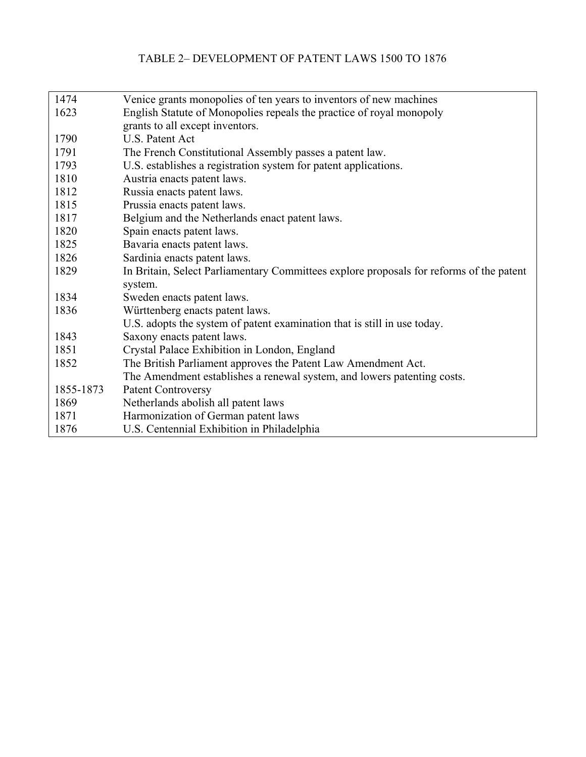# TABLE 2– DEVELOPMENT OF PATENT LAWS 1500 TO 1876

| 1474      | Venice grants monopolies of ten years to inventors of new machines                      |
|-----------|-----------------------------------------------------------------------------------------|
| 1623      | English Statute of Monopolies repeals the practice of royal monopoly                    |
|           | grants to all except inventors.                                                         |
| 1790      | U.S. Patent Act                                                                         |
| 1791      | The French Constitutional Assembly passes a patent law.                                 |
| 1793      | U.S. establishes a registration system for patent applications.                         |
| 1810      | Austria enacts patent laws.                                                             |
| 1812      | Russia enacts patent laws.                                                              |
| 1815      | Prussia enacts patent laws.                                                             |
| 1817      | Belgium and the Netherlands enact patent laws.                                          |
| 1820      | Spain enacts patent laws.                                                               |
| 1825      | Bavaria enacts patent laws.                                                             |
| 1826      | Sardinia enacts patent laws.                                                            |
| 1829      | In Britain, Select Parliamentary Committees explore proposals for reforms of the patent |
|           | system.                                                                                 |
| 1834      | Sweden enacts patent laws.                                                              |
| 1836      | Württenberg enacts patent laws.                                                         |
|           | U.S. adopts the system of patent examination that is still in use today.                |
| 1843      | Saxony enacts patent laws.                                                              |
| 1851      | Crystal Palace Exhibition in London, England                                            |
| 1852      | The British Parliament approves the Patent Law Amendment Act.                           |
|           | The Amendment establishes a renewal system, and lowers patenting costs.                 |
| 1855-1873 | <b>Patent Controversy</b>                                                               |
| 1869      | Netherlands abolish all patent laws                                                     |
| 1871      | Harmonization of German patent laws                                                     |
| 1876      | U.S. Centennial Exhibition in Philadelphia                                              |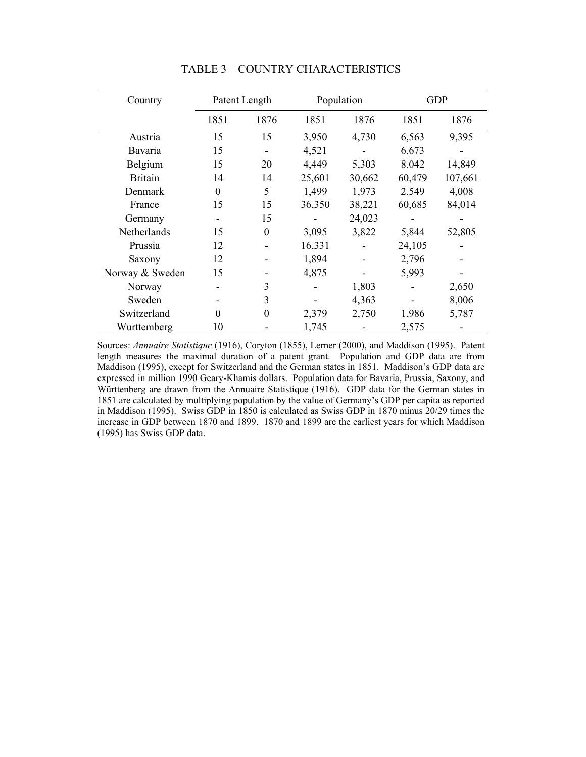| Country         | Patent Length    |                  | Population |        | <b>GDP</b> |         |
|-----------------|------------------|------------------|------------|--------|------------|---------|
|                 | 1851             | 1876             | 1851       | 1876   | 1851       | 1876    |
| Austria         | 15               | 15               | 3,950      | 4,730  | 6,563      | 9,395   |
| Bavaria         | 15               |                  | 4,521      |        | 6,673      |         |
| Belgium         | 15               | 20               | 4,449      | 5,303  | 8,042      | 14,849  |
| <b>Britain</b>  | 14               | 14               | 25,601     | 30,662 | 60,479     | 107,661 |
| Denmark         | $\boldsymbol{0}$ | 5                | 1,499      | 1,973  | 2,549      | 4,008   |
| France          | 15               | 15               | 36,350     | 38,221 | 60,685     | 84,014  |
| Germany         |                  | 15               |            | 24,023 |            |         |
| Netherlands     | 15               | $\boldsymbol{0}$ | 3,095      | 3,822  | 5,844      | 52,805  |
| Prussia         | 12               |                  | 16,331     |        | 24,105     |         |
| Saxony          | 12               |                  | 1,894      |        | 2,796      |         |
| Norway & Sweden | 15               |                  | 4,875      |        | 5,993      |         |
| Norway          |                  | 3                |            | 1,803  |            | 2,650   |
| Sweden          |                  | 3                |            | 4,363  |            | 8,006   |
| Switzerland     | $\Omega$         | $\boldsymbol{0}$ | 2,379      | 2,750  | 1,986      | 5,787   |
| Wurttemberg     | 10               |                  | 1,745      |        | 2,575      |         |

TABLE 3 – COUNTRY CHARACTERISTICS

Sources: *Annuaire Statistique* (1916), Coryton (1855), Lerner (2000), and Maddison (1995). Patent length measures the maximal duration of a patent grant. Population and GDP data are from Maddison (1995), except for Switzerland and the German states in 1851. Maddison's GDP data are expressed in million 1990 Geary-Khamis dollars. Population data for Bavaria, Prussia, Saxony, and Württenberg are drawn from the Annuaire Statistique (1916). GDP data for the German states in 1851 are calculated by multiplying population by the value of Germany's GDP per capita as reported in Maddison (1995). Swiss GDP in 1850 is calculated as Swiss GDP in 1870 minus 20/29 times the increase in GDP between 1870 and 1899. 1870 and 1899 are the earliest years for which Maddison (1995) has Swiss GDP data.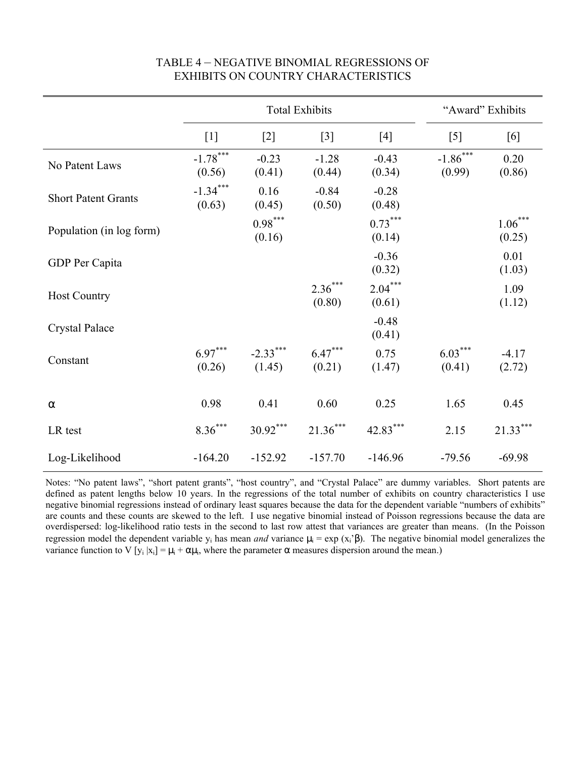|                            | <b>Total Exhibits</b> |                       |                     |                     | "Award" Exhibits     |                          |
|----------------------------|-----------------------|-----------------------|---------------------|---------------------|----------------------|--------------------------|
|                            | $[1]$                 | $[2]$                 | $[3]$               | $[4]$               | $\left[5\right]$     | [6]                      |
| No Patent Laws             | $-1.78***$<br>(0.56)  | $-0.23$<br>(0.41)     | $-1.28$<br>(0.44)   | $-0.43$<br>(0.34)   | $-1.86***$<br>(0.99) | 0.20<br>(0.86)           |
| <b>Short Patent Grants</b> | $-1.34***$<br>(0.63)  | 0.16<br>(0.45)        | $-0.84$<br>(0.50)   | $-0.28$<br>(0.48)   |                      |                          |
| Population (in log form)   |                       | $0.98***$<br>(0.16)   |                     | $0.73***$<br>(0.14) |                      | $1.06\sp{***}$<br>(0.25) |
| GDP Per Capita             |                       |                       |                     | $-0.36$<br>(0.32)   |                      | 0.01<br>(1.03)           |
| <b>Host Country</b>        |                       |                       | $2.36***$<br>(0.80) | $2.04***$<br>(0.61) |                      | 1.09<br>(1.12)           |
| <b>Crystal Palace</b>      |                       |                       |                     | $-0.48$<br>(0.41)   |                      |                          |
| Constant                   | $6.97***$<br>(0.26)   | $-2.33$ ***<br>(1.45) | $6.47***$<br>(0.21) | 0.75<br>(1.47)      | $6.03***$<br>(0.41)  | $-4.17$<br>(2.72)        |
| $\alpha$                   | 0.98                  | 0.41                  | 0.60                | 0.25                | 1.65                 | 0.45                     |
| LR test                    | $8.36***$             | $30.92***$            | $21.36***$          | 42.83***            | 2.15                 | $21.33***$               |
| Log-Likelihood             | $-164.20$             | $-152.92$             | $-157.70$           | $-146.96$           | $-79.56$             | $-69.98$                 |

## TABLE 4 – NEGATIVE BINOMIAL REGRESSIONS OF EXHIBITS ON COUNTRY CHARACTERISTICS

Notes: "No patent laws", "short patent grants", "host country", and "Crystal Palace" are dummy variables. Short patents are defined as patent lengths below 10 years. In the regressions of the total number of exhibits on country characteristics I use negative binomial regressions instead of ordinary least squares because the data for the dependent variable "numbers of exhibits" are counts and these counts are skewed to the left. I use negative binomial instead of Poisson regressions because the data are overdispersed: log-likelihood ratio tests in the second to last row attest that variances are greater than means. (In the Poisson regression model the dependent variable y<sub>i</sub> has mean *and* variance  $μ<sub>i</sub> = exp (x<sub>i</sub>'β)$ . The negative binomial model generalizes the variance function to V [y<sub>i</sub> |x<sub>i</sub>] =  $\mu_i$  +  $\alpha \mu_i$ , where the parameter  $\alpha$  measures dispersion around the mean.)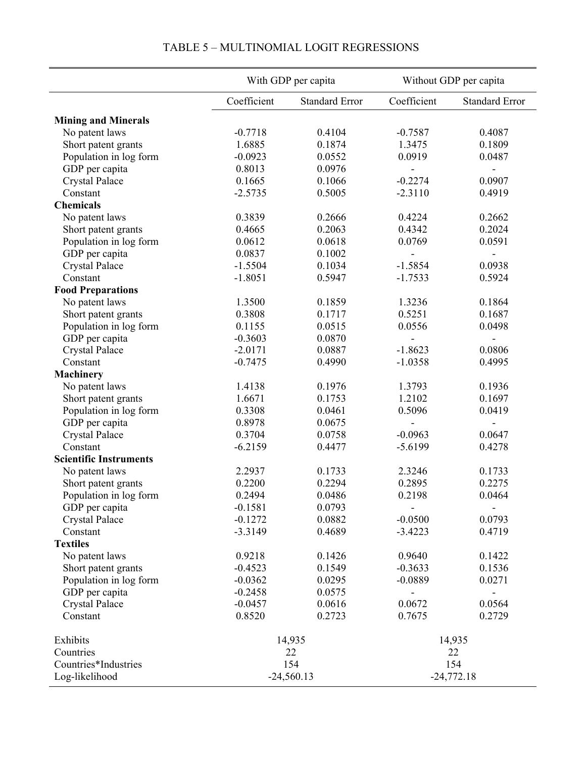|                               |             | With GDP per capita   | Without GDP per capita |                       |  |
|-------------------------------|-------------|-----------------------|------------------------|-----------------------|--|
|                               | Coefficient | <b>Standard Error</b> | Coefficient            | <b>Standard Error</b> |  |
| <b>Mining and Minerals</b>    |             |                       |                        |                       |  |
| No patent laws                | $-0.7718$   | 0.4104                | $-0.7587$              | 0.4087                |  |
| Short patent grants           | 1.6885      | 0.1874                | 1.3475                 | 0.1809                |  |
| Population in log form        | $-0.0923$   | 0.0552                | 0.0919                 | 0.0487                |  |
| GDP per capita                | 0.8013      | 0.0976                |                        |                       |  |
| <b>Crystal Palace</b>         | 0.1665      | 0.1066                | $-0.2274$              | 0.0907                |  |
| Constant                      | $-2.5735$   | 0.5005                | $-2.3110$              | 0.4919                |  |
| <b>Chemicals</b>              |             |                       |                        |                       |  |
| No patent laws                | 0.3839      | 0.2666                | 0.4224                 | 0.2662                |  |
| Short patent grants           | 0.4665      | 0.2063                | 0.4342                 | 0.2024                |  |
| Population in log form        | 0.0612      | 0.0618                | 0.0769                 | 0.0591                |  |
| GDP per capita                | 0.0837      | 0.1002                |                        | $\overline{a}$        |  |
| <b>Crystal Palace</b>         | $-1.5504$   | 0.1034                | $-1.5854$              | 0.0938                |  |
| Constant                      | $-1.8051$   | 0.5947                | $-1.7533$              | 0.5924                |  |
| <b>Food Preparations</b>      |             |                       |                        |                       |  |
| No patent laws                | 1.3500      | 0.1859                | 1.3236                 | 0.1864                |  |
| Short patent grants           | 0.3808      | 0.1717                | 0.5251                 | 0.1687                |  |
| Population in log form        | 0.1155      | 0.0515                | 0.0556                 | 0.0498                |  |
|                               | $-0.3603$   | 0.0870                |                        |                       |  |
| GDP per capita                |             |                       |                        |                       |  |
| <b>Crystal Palace</b>         | $-2.0171$   | 0.0887                | $-1.8623$              | 0.0806                |  |
| Constant                      | $-0.7475$   | 0.4990                | $-1.0358$              | 0.4995                |  |
| <b>Machinery</b>              |             |                       |                        |                       |  |
| No patent laws                | 1.4138      | 0.1976                | 1.3793                 | 0.1936                |  |
| Short patent grants           | 1.6671      | 0.1753                | 1.2102                 | 0.1697                |  |
| Population in log form        | 0.3308      | 0.0461                | 0.5096                 | 0.0419                |  |
| GDP per capita                | 0.8978      | 0.0675                |                        | ä,                    |  |
| <b>Crystal Palace</b>         | 0.3704      | 0.0758                | $-0.0963$              | 0.0647                |  |
| Constant                      | $-6.2159$   | 0.4477                | $-5.6199$              | 0.4278                |  |
| <b>Scientific Instruments</b> |             |                       |                        |                       |  |
| No patent laws                | 2.2937      | 0.1733                | 2.3246                 | 0.1733                |  |
| Short patent grants           | 0.2200      | 0.2294                | 0.2895                 | 0.2275                |  |
| Population in log form        | 0.2494      | 0.0486                | 0.2198                 | 0.0464                |  |
| GDP per capita                | $-0.1581$   | 0.0793                |                        |                       |  |
| <b>Crystal Palace</b>         | $-0.1272$   | 0.0882                | $-0.0500$              | 0.0793                |  |
| Constant                      | $-3.3149$   | 0.4689                | $-3.4223$              | 0.4719                |  |
| <b>Textiles</b>               |             |                       |                        |                       |  |
| No patent laws                | 0.9218      | 0.1426                | 0.9640                 | 0.1422                |  |
| Short patent grants           | $-0.4523$   | 0.1549                | $-0.3633$              | 0.1536                |  |
| Population in log form        | $-0.0362$   | 0.0295                | $-0.0889$              | 0.0271                |  |
| GDP per capita                | $-0.2458$   | 0.0575                |                        |                       |  |
| <b>Crystal Palace</b>         | $-0.0457$   | 0.0616                | 0.0672                 | 0.0564                |  |
| Constant                      | 0.8520      | 0.2723                | 0.7675                 | 0.2729                |  |
| Exhibits                      |             | 14,935                |                        | 14,935                |  |
| Countries                     |             | 22                    |                        | 22                    |  |
| Countries*Industries          |             | 154                   |                        | 154                   |  |
| Log-likelihood                |             | $-24,560.13$          |                        | $-24,772.18$          |  |

# TABLE 5 – MULTINOMIAL LOGIT REGRESSIONS